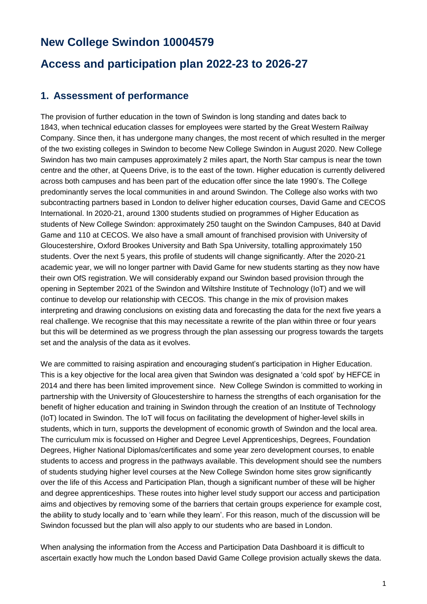# **New College Swindon 10004579**

# **Access and participation plan 2022-23 to 2026-27**

# **1. Assessment of performance**

The provision of further education in the town of Swindon is long standing and dates back to 1843, when technical education classes for employees were started by the Great Western Railway Company. Since then, it has undergone many changes, the most recent of which resulted in the merger of the two existing colleges in Swindon to become New College Swindon in August 2020. New College Swindon has two main campuses approximately 2 miles apart, the North Star campus is near the town centre and the other, at Queens Drive, is to the east of the town. Higher education is currently delivered across both campuses and has been part of the education offer since the late 1990's. The College predominantly serves the local communities in and around Swindon. The College also works with two subcontracting partners based in London to deliver higher education courses, David Game and CECOS International. In 2020-21, around 1300 students studied on programmes of Higher Education as students of New College Swindon: approximately 250 taught on the Swindon Campuses, 840 at David Game and 110 at CECOS. We also have a small amount of franchised provision with University of Gloucestershire, Oxford Brookes University and Bath Spa University, totalling approximately 150 students. Over the next 5 years, this profile of students will change significantly. After the 2020-21 academic year, we will no longer partner with David Game for new students starting as they now have their own OfS registration. We will considerably expand our Swindon based provision through the opening in September 2021 of the Swindon and Wiltshire Institute of Technology (IoT) and we will continue to develop our relationship with CECOS. This change in the mix of provision makes interpreting and drawing conclusions on existing data and forecasting the data for the next five years a real challenge. We recognise that this may necessitate a rewrite of the plan within three or four years but this will be determined as we progress through the plan assessing our progress towards the targets set and the analysis of the data as it evolves.

We are committed to raising aspiration and encouraging student's participation in Higher Education. This is a key objective for the local area given that Swindon was designated a 'cold spot' by HEFCE in 2014 and there has been limited improvement since. New College Swindon is committed to working in partnership with the University of Gloucestershire to harness the strengths of each organisation for the benefit of higher education and training in Swindon through the creation of an Institute of Technology (IoT) located in Swindon. The IoT will focus on facilitating the development of higher-level skills in students, which in turn, supports the development of economic growth of Swindon and the local area. The curriculum mix is focussed on Higher and Degree Level Apprenticeships, Degrees, Foundation Degrees, Higher National Diplomas/certificates and some year zero development courses, to enable students to access and progress in the pathways available. This development should see the numbers of students studying higher level courses at the New College Swindon home sites grow significantly over the life of this Access and Participation Plan, though a significant number of these will be higher and degree apprenticeships. These routes into higher level study support our access and participation aims and objectives by removing some of the barriers that certain groups experience for example cost, the ability to study locally and to 'earn while they learn'. For this reason, much of the discussion will be Swindon focussed but the plan will also apply to our students who are based in London.

When analysing the information from the Access and Participation Data Dashboard it is difficult to ascertain exactly how much the London based David Game College provision actually skews the data.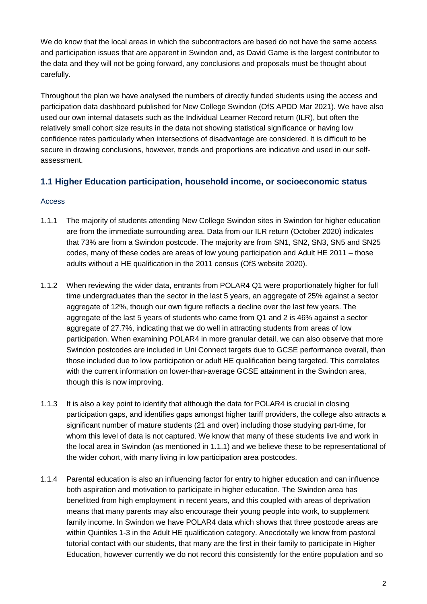We do know that the local areas in which the subcontractors are based do not have the same access and participation issues that are apparent in Swindon and, as David Game is the largest contributor to the data and they will not be going forward, any conclusions and proposals must be thought about carefully.

Throughout the plan we have analysed the numbers of directly funded students using the access and participation data dashboard published for New College Swindon (OfS APDD Mar 2021). We have also used our own internal datasets such as the Individual Learner Record return (ILR), but often the relatively small cohort size results in the data not showing statistical significance or having low confidence rates particularly when intersections of disadvantage are considered. It is difficult to be secure in drawing conclusions, however, trends and proportions are indicative and used in our selfassessment.

# **1.1 Higher Education participation, household income, or socioeconomic status**

# Access

- 1.1.1 The majority of students attending New College Swindon sites in Swindon for higher education are from the immediate surrounding area. Data from our ILR return (October 2020) indicates that 73% are from a Swindon postcode. The majority are from SN1, SN2, SN3, SN5 and SN25 codes, many of these codes are areas of low young participation and Adult HE 2011 – those adults without a HE qualification in the 2011 census (OfS website 2020).
- 1.1.2 When reviewing the wider data, entrants from POLAR4 Q1 were proportionately higher for full time undergraduates than the sector in the last 5 years, an aggregate of 25% against a sector aggregate of 12%, though our own figure reflects a decline over the last few years. The aggregate of the last 5 years of students who came from Q1 and 2 is 46% against a sector aggregate of 27.7%, indicating that we do well in attracting students from areas of low participation. When examining POLAR4 in more granular detail, we can also observe that more Swindon postcodes are included in Uni Connect targets due to GCSE performance overall, than those included due to low participation or adult HE qualification being targeted. This correlates with the current information on lower-than-average GCSE attainment in the Swindon area, though this is now improving.
- 1.1.3 It is also a key point to identify that although the data for POLAR4 is crucial in closing participation gaps, and identifies gaps amongst higher tariff providers, the college also attracts a significant number of mature students (21 and over) including those studying part-time, for whom this level of data is not captured. We know that many of these students live and work in the local area in Swindon (as mentioned in 1.1.1) and we believe these to be representational of the wider cohort, with many living in low participation area postcodes.
- 1.1.4 Parental education is also an influencing factor for entry to higher education and can influence both aspiration and motivation to participate in higher education. The Swindon area has benefitted from high employment in recent years, and this coupled with areas of deprivation means that many parents may also encourage their young people into work, to supplement family income. In Swindon we have POLAR4 data which shows that three postcode areas are within Quintiles 1-3 in the Adult HE qualification category. Anecdotally we know from pastoral tutorial contact with our students, that many are the first in their family to participate in Higher Education, however currently we do not record this consistently for the entire population and so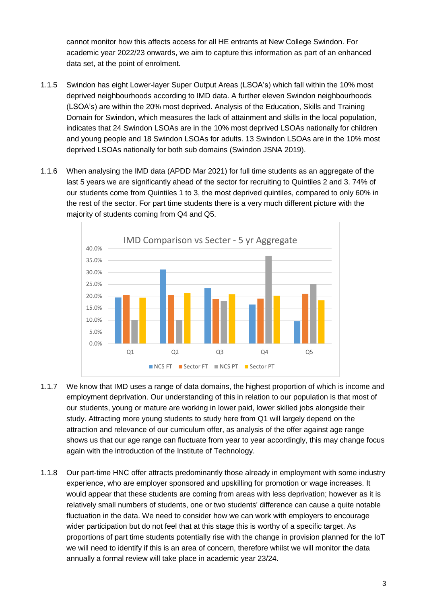cannot monitor how this affects access for all HE entrants at New College Swindon. For academic year 2022/23 onwards, we aim to capture this information as part of an enhanced data set, at the point of enrolment.

- 1.1.5 Swindon has eight Lower-layer Super Output Areas (LSOA's) which fall within the 10% most deprived neighbourhoods according to IMD data. A further eleven Swindon neighbourhoods (LSOA's) are within the 20% most deprived. Analysis of the Education, Skills and Training Domain for Swindon, which measures the lack of attainment and skills in the local population, indicates that 24 Swindon LSOAs are in the 10% most deprived LSOAs nationally for children and young people and 18 Swindon LSOAs for adults. 13 Swindon LSOAs are in the 10% most deprived LSOAs nationally for both sub domains (Swindon JSNA 2019).
- 1.1.6 When analysing the IMD data (APDD Mar 2021) for full time students as an aggregate of the last 5 years we are significantly ahead of the sector for recruiting to Quintiles 2 and 3. 74% of our students come from Quintiles 1 to 3, the most deprived quintiles, compared to only 60% in the rest of the sector. For part time students there is a very much different picture with the majority of students coming from Q4 and Q5.



- 1.1.7 We know that IMD uses a range of data domains, the highest proportion of which is income and employment deprivation. Our understanding of this in relation to our population is that most of our students, young or mature are working in lower paid, lower skilled jobs alongside their study. Attracting more young students to study here from Q1 will largely depend on the attraction and relevance of our curriculum offer, as analysis of the offer against age range shows us that our age range can fluctuate from year to year accordingly, this may change focus again with the introduction of the Institute of Technology.
- 1.1.8 Our part-time HNC offer attracts predominantly those already in employment with some industry experience, who are employer sponsored and upskilling for promotion or wage increases. It would appear that these students are coming from areas with less deprivation; however as it is relatively small numbers of students, one or two students' difference can cause a quite notable fluctuation in the data. We need to consider how we can work with employers to encourage wider participation but do not feel that at this stage this is worthy of a specific target. As proportions of part time students potentially rise with the change in provision planned for the IoT we will need to identify if this is an area of concern, therefore whilst we will monitor the data annually a formal review will take place in academic year 23/24.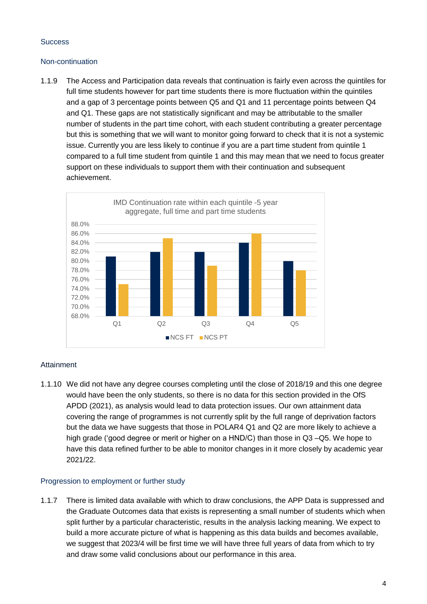### **Success**

## Non-continuation

1.1.9 The Access and Participation data reveals that continuation is fairly even across the quintiles for full time students however for part time students there is more fluctuation within the quintiles and a gap of 3 percentage points between Q5 and Q1 and 11 percentage points between Q4 and Q1. These gaps are not statistically significant and may be attributable to the smaller number of students in the part time cohort, with each student contributing a greater percentage but this is something that we will want to monitor going forward to check that it is not a systemic issue. Currently you are less likely to continue if you are a part time student from quintile 1 compared to a full time student from quintile 1 and this may mean that we need to focus greater support on these individuals to support them with their continuation and subsequent achievement.



# Attainment

1.1.10 We did not have any degree courses completing until the close of 2018/19 and this one degree would have been the only students, so there is no data for this section provided in the OfS APDD (2021), as analysis would lead to data protection issues. Our own attainment data covering the range of programmes is not currently split by the full range of deprivation factors but the data we have suggests that those in POLAR4 Q1 and Q2 are more likely to achieve a high grade ('good degree or merit or higher on a HND/C) than those in Q3 –Q5. We hope to have this data refined further to be able to monitor changes in it more closely by academic year 2021/22.

#### Progression to employment or further study

1.1.7 There is limited data available with which to draw conclusions, the APP Data is suppressed and the Graduate Outcomes data that exists is representing a small number of students which when split further by a particular characteristic, results in the analysis lacking meaning. We expect to build a more accurate picture of what is happening as this data builds and becomes available, we suggest that 2023/4 will be first time we will have three full years of data from which to try and draw some valid conclusions about our performance in this area.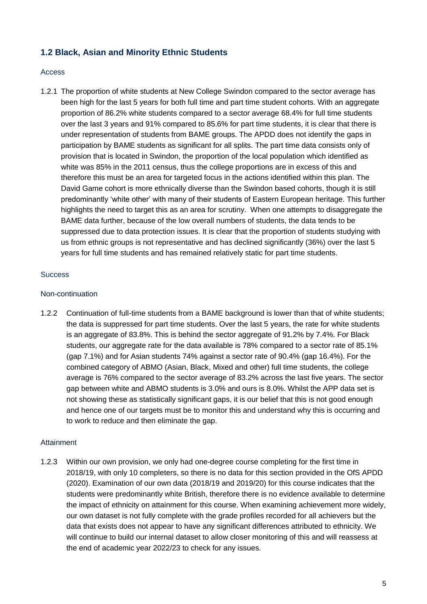# **1.2 Black, Asian and Minority Ethnic Students**

#### Access

1.2.1 The proportion of white students at New College Swindon compared to the sector average has been high for the last 5 years for both full time and part time student cohorts. With an aggregate proportion of 86.2% white students compared to a sector average 68.4% for full time students over the last 3 years and 91% compared to 85.6% for part time students, it is clear that there is under representation of students from BAME groups. The APDD does not identify the gaps in participation by BAME students as significant for all splits. The part time data consists only of provision that is located in Swindon, the proportion of the local population which identified as white was 85% in the 2011 census, thus the college proportions are in excess of this and therefore this must be an area for targeted focus in the actions identified within this plan. The David Game cohort is more ethnically diverse than the Swindon based cohorts, though it is still predominantly 'white other' with many of their students of Eastern European heritage. This further highlights the need to target this as an area for scrutiny. When one attempts to disaggregate the BAME data further, because of the low overall numbers of students, the data tends to be suppressed due to data protection issues. It is clear that the proportion of students studying with us from ethnic groups is not representative and has declined significantly (36%) over the last 5 years for full time students and has remained relatively static for part time students.

#### **Success**

#### Non-continuation

1.2.2 Continuation of full-time students from a BAME background is lower than that of white students; the data is suppressed for part time students. Over the last 5 years, the rate for white students is an aggregate of 83.8%. This is behind the sector aggregate of 91.2% by 7.4%. For Black students, our aggregate rate for the data available is 78% compared to a sector rate of 85.1% (gap 7.1%) and for Asian students 74% against a sector rate of 90.4% (gap 16.4%). For the combined category of ABMO (Asian, Black, Mixed and other) full time students, the college average is 76% compared to the sector average of 83.2% across the last five years. The sector gap between white and ABMO students is 3.0% and ours is 8.0%. Whilst the APP data set is not showing these as statistically significant gaps, it is our belief that this is not good enough and hence one of our targets must be to monitor this and understand why this is occurring and to work to reduce and then eliminate the gap.

#### **Attainment**

1.2.3 Within our own provision, we only had one-degree course completing for the first time in 2018/19, with only 10 completers, so there is no data for this section provided in the OfS APDD (2020). Examination of our own data (2018/19 and 2019/20) for this course indicates that the students were predominantly white British, therefore there is no evidence available to determine the impact of ethnicity on attainment for this course. When examining achievement more widely, our own dataset is not fully complete with the grade profiles recorded for all achievers but the data that exists does not appear to have any significant differences attributed to ethnicity. We will continue to build our internal dataset to allow closer monitoring of this and will reassess at the end of academic year 2022/23 to check for any issues.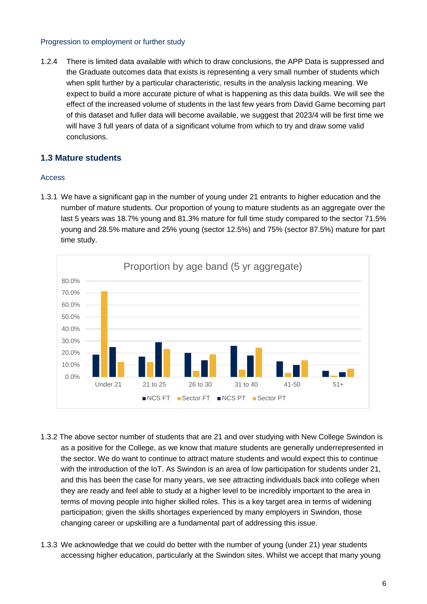### Progression to employment or further study

1.2.4 There is limited data available with which to draw conclusions, the APP Data is suppressed and the Graduate outcomes data that exists is representing a very small number of students which when split further by a particular characteristic, results in the analysis lacking meaning. We expect to build a more accurate picture of what is happening as this data builds. We will see the effect of the increased volume of students in the last few years from David Game becoming part of this dataset and fuller data will become available, we suggest that 2023/4 will be first time we will have 3 full years of data of a significant volume from which to try and draw some valid conclusions.

# **1.3 Mature students**

# Access

1.3.1 We have a significant gap in the number of young under 21 entrants to higher education and the number of mature students. Our proportion of young to mature students as an aggregate over the last 5 years was 18.7% young and 81.3% mature for full time study compared to the sector 71.5% young and 28.5% mature and 25% young (sector 12.5%) and 75% (sector 87.5%) mature for part time study.



- 1.3.2 The above sector number of students that are 21 and over studying with New College Swindon is as a positive for the College, as we know that mature students are generally underrepresented in the sector. We do want to continue to attract mature students and would expect this to continue with the introduction of the IoT. As Swindon is an area of low participation for students under 21, and this has been the case for many years, we see attracting individuals back into college when they are ready and feel able to study at a higher level to be incredibly important to the area in terms of moving people into higher skilled roles. This is a key target area in terms of widening participation; given the skills shortages experienced by many employers in Swindon, those changing career or upskilling are a fundamental part of addressing this issue.
- 1.3.3 We acknowledge that we could do better with the number of young (under 21) year students accessing higher education, particularly at the Swindon sites. Whilst we accept that many young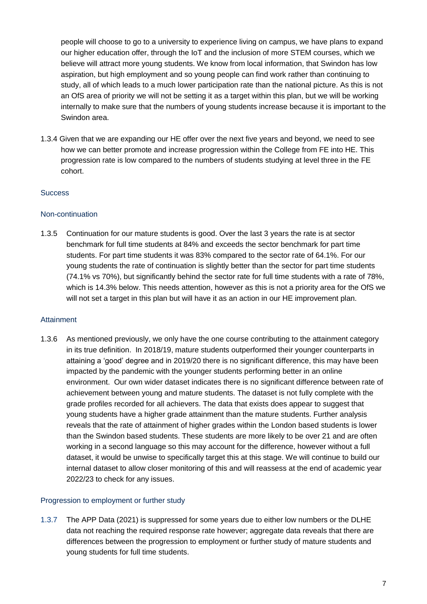people will choose to go to a university to experience living on campus, we have plans to expand our higher education offer, through the IoT and the inclusion of more STEM courses, which we believe will attract more young students. We know from local information, that Swindon has low aspiration, but high employment and so young people can find work rather than continuing to study, all of which leads to a much lower participation rate than the national picture. As this is not an OfS area of priority we will not be setting it as a target within this plan, but we will be working internally to make sure that the numbers of young students increase because it is important to the Swindon area.

1.3.4 Given that we are expanding our HE offer over the next five years and beyond, we need to see how we can better promote and increase progression within the College from FE into HE. This progression rate is low compared to the numbers of students studying at level three in the FE cohort.

### **Success**

### Non-continuation

1.3.5 Continuation for our mature students is good. Over the last 3 years the rate is at sector benchmark for full time students at 84% and exceeds the sector benchmark for part time students. For part time students it was 83% compared to the sector rate of 64.1%. For our young students the rate of continuation is slightly better than the sector for part time students (74.1% vs 70%), but significantly behind the sector rate for full time students with a rate of 78%, which is 14.3% below. This needs attention, however as this is not a priority area for the OfS we will not set a target in this plan but will have it as an action in our HE improvement plan.

#### **Attainment**

1.3.6 As mentioned previously, we only have the one course contributing to the attainment category in its true definition. In 2018/19, mature students outperformed their younger counterparts in attaining a 'good' degree and in 2019/20 there is no significant difference, this may have been impacted by the pandemic with the younger students performing better in an online environment. Our own wider dataset indicates there is no significant difference between rate of achievement between young and mature students. The dataset is not fully complete with the grade profiles recorded for all achievers. The data that exists does appear to suggest that young students have a higher grade attainment than the mature students. Further analysis reveals that the rate of attainment of higher grades within the London based students is lower than the Swindon based students. These students are more likely to be over 21 and are often working in a second language so this may account for the difference, however without a full dataset, it would be unwise to specifically target this at this stage. We will continue to build our internal dataset to allow closer monitoring of this and will reassess at the end of academic year 2022/23 to check for any issues.

#### Progression to employment or further study

1.3.7 The APP Data (2021) is suppressed for some years due to either low numbers or the DLHE data not reaching the required response rate however; aggregate data reveals that there are differences between the progression to employment or further study of mature students and young students for full time students.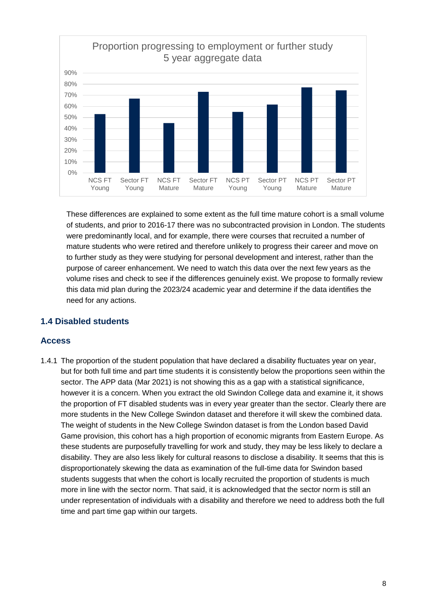

These differences are explained to some extent as the full time mature cohort is a small volume of students, and prior to 2016-17 there was no subcontracted provision in London. The students were predominantly local, and for example, there were courses that recruited a number of mature students who were retired and therefore unlikely to progress their career and move on to further study as they were studying for personal development and interest, rather than the purpose of career enhancement. We need to watch this data over the next few years as the volume rises and check to see if the differences genuinely exist. We propose to formally review this data mid plan during the 2023/24 academic year and determine if the data identifies the need for any actions.

# **1.4 Disabled students**

# **Access**

1.4.1 The proportion of the student population that have declared a disability fluctuates year on year, but for both full time and part time students it is consistently below the proportions seen within the sector. The APP data (Mar 2021) is not showing this as a gap with a statistical significance, however it is a concern. When you extract the old Swindon College data and examine it, it shows the proportion of FT disabled students was in every year greater than the sector. Clearly there are more students in the New College Swindon dataset and therefore it will skew the combined data. The weight of students in the New College Swindon dataset is from the London based David Game provision, this cohort has a high proportion of economic migrants from Eastern Europe. As these students are purposefully travelling for work and study, they may be less likely to declare a disability. They are also less likely for cultural reasons to disclose a disability. It seems that this is disproportionately skewing the data as examination of the full-time data for Swindon based students suggests that when the cohort is locally recruited the proportion of students is much more in line with the sector norm. That said, it is acknowledged that the sector norm is still an under representation of individuals with a disability and therefore we need to address both the full time and part time gap within our targets.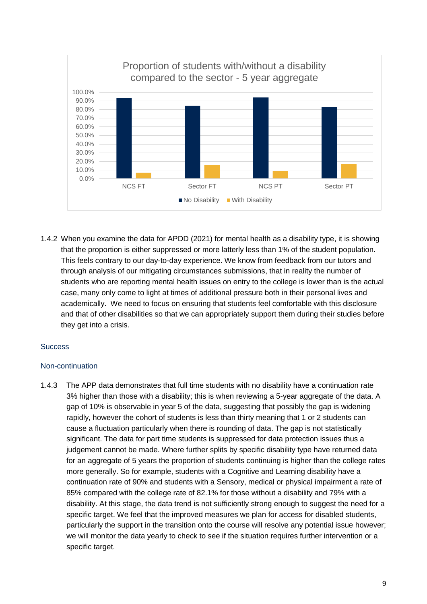

1.4.2 When you examine the data for APDD (2021) for mental health as a disability type, it is showing that the proportion is either suppressed or more latterly less than 1% of the student population. This feels contrary to our day-to-day experience. We know from feedback from our tutors and through analysis of our mitigating circumstances submissions, that in reality the number of students who are reporting mental health issues on entry to the college is lower than is the actual case, many only come to light at times of additional pressure both in their personal lives and academically. We need to focus on ensuring that students feel comfortable with this disclosure and that of other disabilities so that we can appropriately support them during their studies before they get into a crisis.

# **Success**

# Non-continuation

1.4.3 The APP data demonstrates that full time students with no disability have a continuation rate 3% higher than those with a disability; this is when reviewing a 5-year aggregate of the data. A gap of 10% is observable in year 5 of the data, suggesting that possibly the gap is widening rapidly, however the cohort of students is less than thirty meaning that 1 or 2 students can cause a fluctuation particularly when there is rounding of data. The gap is not statistically significant. The data for part time students is suppressed for data protection issues thus a judgement cannot be made. Where further splits by specific disability type have returned data for an aggregate of 5 years the proportion of students continuing is higher than the college rates more generally. So for example, students with a Cognitive and Learning disability have a continuation rate of 90% and students with a Sensory, medical or physical impairment a rate of 85% compared with the college rate of 82.1% for those without a disability and 79% with a disability. At this stage, the data trend is not sufficiently strong enough to suggest the need for a specific target. We feel that the improved measures we plan for access for disabled students, particularly the support in the transition onto the course will resolve any potential issue however; we will monitor the data yearly to check to see if the situation requires further intervention or a specific target.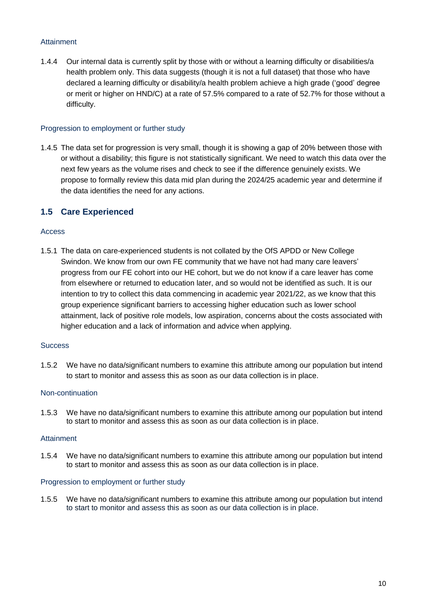### Attainment

1.4.4 Our internal data is currently split by those with or without a learning difficulty or disabilities/a health problem only. This data suggests (though it is not a full dataset) that those who have declared a learning difficulty or disability/a health problem achieve a high grade ('good' degree or merit or higher on HND/C) at a rate of 57.5% compared to a rate of 52.7% for those without a difficulty.

#### Progression to employment or further study

1.4.5 The data set for progression is very small, though it is showing a gap of 20% between those with or without a disability; this figure is not statistically significant. We need to watch this data over the next few years as the volume rises and check to see if the difference genuinely exists. We propose to formally review this data mid plan during the 2024/25 academic year and determine if the data identifies the need for any actions.

# **1.5 Care Experienced**

#### **Access**

1.5.1 The data on care-experienced students is not collated by the OfS APDD or New College Swindon. We know from our own FE community that we have not had many care leavers' progress from our FE cohort into our HE cohort, but we do not know if a care leaver has come from elsewhere or returned to education later, and so would not be identified as such. It is our intention to try to collect this data commencing in academic year 2021/22, as we know that this group experience significant barriers to accessing higher education such as lower school attainment, lack of positive role models, low aspiration, concerns about the costs associated with higher education and a lack of information and advice when applying.

#### **Success**

1.5.2 We have no data/significant numbers to examine this attribute among our population but intend to start to monitor and assess this as soon as our data collection is in place.

#### Non-continuation

1.5.3 We have no data/significant numbers to examine this attribute among our population but intend to start to monitor and assess this as soon as our data collection is in place.

#### **Attainment**

1.5.4 We have no data/significant numbers to examine this attribute among our population but intend to start to monitor and assess this as soon as our data collection is in place.

#### Progression to employment or further study

1.5.5 We have no data/significant numbers to examine this attribute among our population but intend to start to monitor and assess this as soon as our data collection is in place.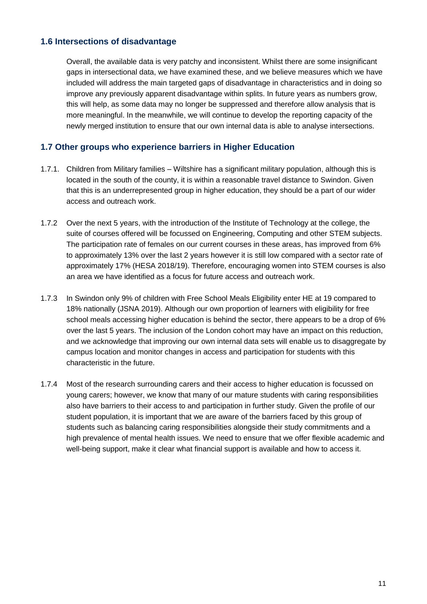# **1.6 Intersections of disadvantage**

Overall, the available data is very patchy and inconsistent. Whilst there are some insignificant gaps in intersectional data, we have examined these, and we believe measures which we have included will address the main targeted gaps of disadvantage in characteristics and in doing so improve any previously apparent disadvantage within splits. In future years as numbers grow, this will help, as some data may no longer be suppressed and therefore allow analysis that is more meaningful. In the meanwhile, we will continue to develop the reporting capacity of the newly merged institution to ensure that our own internal data is able to analyse intersections.

# **1.7 Other groups who experience barriers in Higher Education**

- 1.7.1. Children from Military families Wiltshire has a significant military population, although this is located in the south of the county, it is within a reasonable travel distance to Swindon. Given that this is an underrepresented group in higher education, they should be a part of our wider access and outreach work.
- 1.7.2 Over the next 5 years, with the introduction of the Institute of Technology at the college, the suite of courses offered will be focussed on Engineering, Computing and other STEM subjects. The participation rate of females on our current courses in these areas, has improved from 6% to approximately 13% over the last 2 years however it is still low compared with a sector rate of approximately 17% (HESA 2018/19). Therefore, encouraging women into STEM courses is also an area we have identified as a focus for future access and outreach work.
- 1.7.3 In Swindon only 9% of children with Free School Meals Eligibility enter HE at 19 compared to 18% nationally (JSNA 2019). Although our own proportion of learners with eligibility for free school meals accessing higher education is behind the sector, there appears to be a drop of 6% over the last 5 years. The inclusion of the London cohort may have an impact on this reduction, and we acknowledge that improving our own internal data sets will enable us to disaggregate by campus location and monitor changes in access and participation for students with this characteristic in the future.
- 1.7.4 Most of the research surrounding carers and their access to higher education is focussed on young carers; however, we know that many of our mature students with caring responsibilities also have barriers to their access to and participation in further study. Given the profile of our student population, it is important that we are aware of the barriers faced by this group of students such as balancing caring responsibilities alongside their study commitments and a high prevalence of mental health issues. We need to ensure that we offer flexible academic and well-being support, make it clear what financial support is available and how to access it.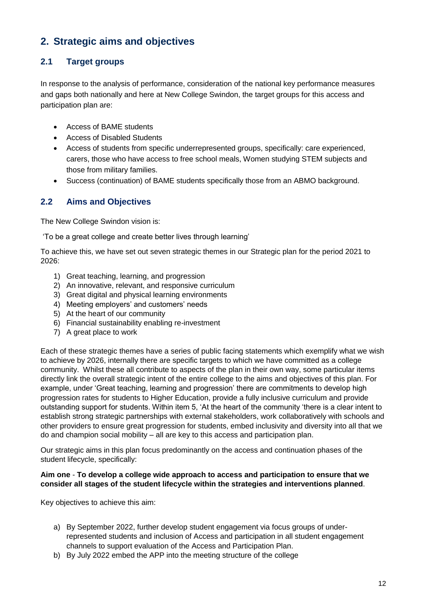# **2. Strategic aims and objectives**

# **2.1 Target groups**

In response to the analysis of performance, consideration of the national key performance measures and gaps both nationally and here at New College Swindon, the target groups for this access and participation plan are:

- Access of BAME students
- Access of Disabled Students
- Access of students from specific underrepresented groups, specifically: care experienced, carers, those who have access to free school meals, Women studying STEM subjects and those from military families.
- Success (continuation) of BAME students specifically those from an ABMO background.

# **2.2 Aims and Objectives**

The New College Swindon vision is:

'To be a great college and create better lives through learning'

To achieve this, we have set out seven strategic themes in our Strategic plan for the period 2021 to 2026:

- 1) Great teaching, learning, and progression
- 2) An innovative, relevant, and responsive curriculum
- 3) Great digital and physical learning environments
- 4) Meeting employers' and customers' needs
- 5) At the heart of our community
- 6) Financial sustainability enabling re-investment
- 7) A great place to work

Each of these strategic themes have a series of public facing statements which exemplify what we wish to achieve by 2026, internally there are specific targets to which we have committed as a college community. Whilst these all contribute to aspects of the plan in their own way, some particular items directly link the overall strategic intent of the entire college to the aims and objectives of this plan. For example, under 'Great teaching, learning and progression' there are commitments to develop high progression rates for students to Higher Education, provide a fully inclusive curriculum and provide outstanding support for students. Within item 5, 'At the heart of the community 'there is a clear intent to establish strong strategic partnerships with external stakeholders, work collaboratively with schools and other providers to ensure great progression for students, embed inclusivity and diversity into all that we do and champion social mobility – all are key to this access and participation plan.

Our strategic aims in this plan focus predominantly on the access and continuation phases of the student lifecycle, specifically:

### **Aim one** - **To develop a college wide approach to access and participation to ensure that we consider all stages of the student lifecycle within the strategies and interventions planned**.

Key objectives to achieve this aim:

- a) By September 2022, further develop student engagement via focus groups of underrepresented students and inclusion of Access and participation in all student engagement channels to support evaluation of the Access and Participation Plan.
- b) By July 2022 embed the APP into the meeting structure of the college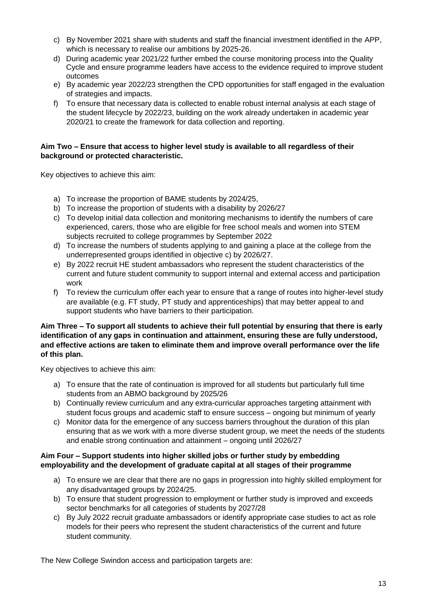- c) By November 2021 share with students and staff the financial investment identified in the APP, which is necessary to realise our ambitions by 2025-26.
- d) During academic year 2021/22 further embed the course monitoring process into the Quality Cycle and ensure programme leaders have access to the evidence required to improve student outcomes
- e) By academic year 2022/23 strengthen the CPD opportunities for staff engaged in the evaluation of strategies and impacts.
- f) To ensure that necessary data is collected to enable robust internal analysis at each stage of the student lifecycle by 2022/23, building on the work already undertaken in academic year 2020/21 to create the framework for data collection and reporting.

# **Aim Two – Ensure that access to higher level study is available to all regardless of their background or protected characteristic.**

Key objectives to achieve this aim:

- a) To increase the proportion of BAME students by 2024/25,
- b) To increase the proportion of students with a disability by 2026/27
- c) To develop initial data collection and monitoring mechanisms to identify the numbers of care experienced, carers, those who are eligible for free school meals and women into STEM subjects recruited to college programmes by September 2022
- d) To increase the numbers of students applying to and gaining a place at the college from the underrepresented groups identified in objective c) by 2026/27.
- e) By 2022 recruit HE student ambassadors who represent the student characteristics of the current and future student community to support internal and external access and participation work
- f) To review the curriculum offer each year to ensure that a range of routes into higher-level study are available (e.g. FT study, PT study and apprenticeships) that may better appeal to and support students who have barriers to their participation.

### **Aim Three – To support all students to achieve their full potential by ensuring that there is early identification of any gaps in continuation and attainment, ensuring these are fully understood, and effective actions are taken to eliminate them and improve overall performance over the life of this plan.**

Key objectives to achieve this aim:

- a) To ensure that the rate of continuation is improved for all students but particularly full time students from an ABMO background by 2025/26
- b) Continually review curriculum and any extra-curricular approaches targeting attainment with student focus groups and academic staff to ensure success – ongoing but minimum of yearly
- c) Monitor data for the emergence of any success barriers throughout the duration of this plan ensuring that as we work with a more diverse student group, we meet the needs of the students and enable strong continuation and attainment – ongoing until 2026/27

### **Aim Four – Support students into higher skilled jobs or further study by embedding employability and the development of graduate capital at all stages of their programme**

- a) To ensure we are clear that there are no gaps in progression into highly skilled employment for any disadvantaged groups by 2024/25.
- b) To ensure that student progression to employment or further study is improved and exceeds sector benchmarks for all categories of students by 2027/28
- c) By July 2022 recruit graduate ambassadors or identify appropriate case studies to act as role models for their peers who represent the student characteristics of the current and future student community.

The New College Swindon access and participation targets are: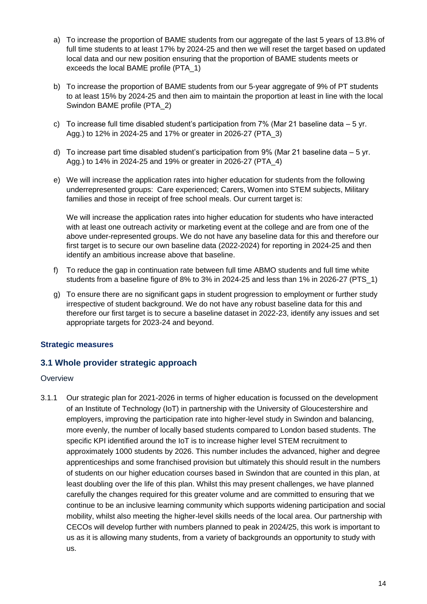- a) To increase the proportion of BAME students from our aggregate of the last 5 years of 13.8% of full time students to at least 17% by 2024-25 and then we will reset the target based on updated local data and our new position ensuring that the proportion of BAME students meets or exceeds the local BAME profile (PTA\_1)
- b) To increase the proportion of BAME students from our 5-year aggregate of 9% of PT students to at least 15% by 2024-25 and then aim to maintain the proportion at least in line with the local Swindon BAME profile (PTA\_2)
- c) To increase full time disabled student's participation from  $7\%$  (Mar 21 baseline data  $-5$  yr. Agg.) to 12% in 2024-25 and 17% or greater in 2026-27 (PTA\_3)
- d) To increase part time disabled student's participation from 9% (Mar 21 baseline data 5 yr. Agg.) to 14% in 2024-25 and 19% or greater in 2026-27 (PTA\_4)
- e) We will increase the application rates into higher education for students from the following underrepresented groups: Care experienced; Carers, Women into STEM subjects, Military families and those in receipt of free school meals. Our current target is:

We will increase the application rates into higher education for students who have interacted with at least one outreach activity or marketing event at the college and are from one of the above under-represented groups. We do not have any baseline data for this and therefore our first target is to secure our own baseline data (2022-2024) for reporting in 2024-25 and then identify an ambitious increase above that baseline.

- f) To reduce the gap in continuation rate between full time ABMO students and full time white students from a baseline figure of 8% to 3% in 2024-25 and less than 1% in 2026-27 (PTS\_1)
- g) To ensure there are no significant gaps in student progression to employment or further study irrespective of student background. We do not have any robust baseline data for this and therefore our first target is to secure a baseline dataset in 2022-23, identify any issues and set appropriate targets for 2023-24 and beyond.

# **Strategic measures**

# **3.1 Whole provider strategic approach**

# **Overview**

3.1.1 Our strategic plan for 2021-2026 in terms of higher education is focussed on the development of an Institute of Technology (IoT) in partnership with the University of Gloucestershire and employers, improving the participation rate into higher-level study in Swindon and balancing, more evenly, the number of locally based students compared to London based students. The specific KPI identified around the IoT is to increase higher level STEM recruitment to approximately 1000 students by 2026. This number includes the advanced, higher and degree apprenticeships and some franchised provision but ultimately this should result in the numbers of students on our higher education courses based in Swindon that are counted in this plan, at least doubling over the life of this plan. Whilst this may present challenges, we have planned carefully the changes required for this greater volume and are committed to ensuring that we continue to be an inclusive learning community which supports widening participation and social mobility, whilst also meeting the higher-level skills needs of the local area. Our partnership with CECOs will develop further with numbers planned to peak in 2024/25, this work is important to us as it is allowing many students, from a variety of backgrounds an opportunity to study with us.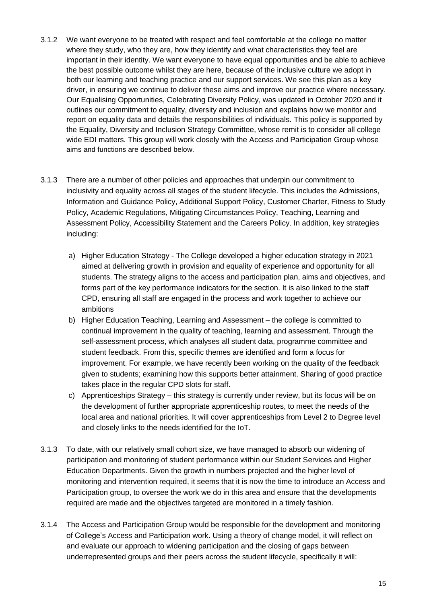- 3.1.2 We want everyone to be treated with respect and feel comfortable at the college no matter where they study, who they are, how they identify and what characteristics they feel are important in their identity. We want everyone to have equal opportunities and be able to achieve the best possible outcome whilst they are here, because of the inclusive culture we adopt in both our learning and teaching practice and our support services. We see this plan as a key driver, in ensuring we continue to deliver these aims and improve our practice where necessary. Our Equalising Opportunities, Celebrating Diversity Policy, was updated in October 2020 and it outlines our commitment to equality, diversity and inclusion and explains how we monitor and report on equality data and details the responsibilities of individuals. This policy is supported by the Equality, Diversity and Inclusion Strategy Committee, whose remit is to consider all college wide EDI matters. This group will work closely with the Access and Participation Group whose aims and functions are described below.
- 3.1.3 There are a number of other policies and approaches that underpin our commitment to inclusivity and equality across all stages of the student lifecycle. This includes the Admissions, Information and Guidance Policy, Additional Support Policy, Customer Charter, Fitness to Study Policy, Academic Regulations, Mitigating Circumstances Policy, Teaching, Learning and Assessment Policy, Accessibility Statement and the Careers Policy. In addition, key strategies including:
	- a) Higher Education Strategy The College developed a higher education strategy in 2021 aimed at delivering growth in provision and equality of experience and opportunity for all students. The strategy aligns to the access and participation plan, aims and objectives, and forms part of the key performance indicators for the section. It is also linked to the staff CPD, ensuring all staff are engaged in the process and work together to achieve our ambitions
	- b) Higher Education Teaching, Learning and Assessment the college is committed to continual improvement in the quality of teaching, learning and assessment. Through the self-assessment process, which analyses all student data, programme committee and student feedback. From this, specific themes are identified and form a focus for improvement. For example, we have recently been working on the quality of the feedback given to students; examining how this supports better attainment. Sharing of good practice takes place in the regular CPD slots for staff.
	- c) Apprenticeships Strategy this strategy is currently under review, but its focus will be on the development of further appropriate apprenticeship routes, to meet the needs of the local area and national priorities. It will cover apprenticeships from Level 2 to Degree level and closely links to the needs identified for the IoT.
- 3.1.3 To date, with our relatively small cohort size, we have managed to absorb our widening of participation and monitoring of student performance within our Student Services and Higher Education Departments. Given the growth in numbers projected and the higher level of monitoring and intervention required, it seems that it is now the time to introduce an Access and Participation group, to oversee the work we do in this area and ensure that the developments required are made and the objectives targeted are monitored in a timely fashion.
- 3.1.4 The Access and Participation Group would be responsible for the development and monitoring of College's Access and Participation work. Using a theory of change model, it will reflect on and evaluate our approach to widening participation and the closing of gaps between underrepresented groups and their peers across the student lifecycle, specifically it will: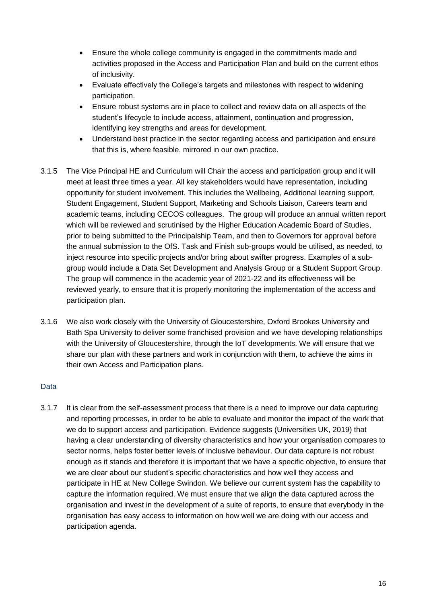- Ensure the whole college community is engaged in the commitments made and activities proposed in the Access and Participation Plan and build on the current ethos of inclusivity.
- Evaluate effectively the College's targets and milestones with respect to widening participation.
- Ensure robust systems are in place to collect and review data on all aspects of the student's lifecycle to include access, attainment, continuation and progression, identifying key strengths and areas for development.
- Understand best practice in the sector regarding access and participation and ensure that this is, where feasible, mirrored in our own practice.
- 3.1.5 The Vice Principal HE and Curriculum will Chair the access and participation group and it will meet at least three times a year. All key stakeholders would have representation, including opportunity for student involvement. This includes the Wellbeing, Additional learning support, Student Engagement, Student Support, Marketing and Schools Liaison, Careers team and academic teams, including CECOS colleagues. The group will produce an annual written report which will be reviewed and scrutinised by the Higher Education Academic Board of Studies, prior to being submitted to the Principalship Team, and then to Governors for approval before the annual submission to the OfS. Task and Finish sub-groups would be utilised, as needed, to inject resource into specific projects and/or bring about swifter progress. Examples of a subgroup would include a Data Set Development and Analysis Group or a Student Support Group. The group will commence in the academic year of 2021-22 and its effectiveness will be reviewed yearly, to ensure that it is properly monitoring the implementation of the access and participation plan.
- 3.1.6 We also work closely with the University of Gloucestershire, Oxford Brookes University and Bath Spa University to deliver some franchised provision and we have developing relationships with the University of Gloucestershire, through the IoT developments. We will ensure that we share our plan with these partners and work in conjunction with them, to achieve the aims in their own Access and Participation plans.

# **Data**

3.1.7 It is clear from the self-assessment process that there is a need to improve our data capturing and reporting processes, in order to be able to evaluate and monitor the impact of the work that we do to support access and participation. Evidence suggests (Universities UK, 2019) that having a clear understanding of diversity characteristics and how your organisation compares to sector norms, helps foster better levels of inclusive behaviour. Our data capture is not robust enough as it stands and therefore it is important that we have a specific objective, to ensure that we are clear about our student's specific characteristics and how well they access and participate in HE at New College Swindon. We believe our current system has the capability to capture the information required. We must ensure that we align the data captured across the organisation and invest in the development of a suite of reports, to ensure that everybody in the organisation has easy access to information on how well we are doing with our access and participation agenda.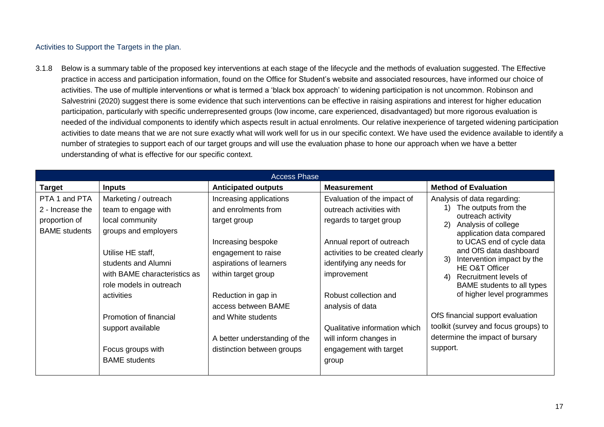## Activities to Support the Targets in the plan.

3.1.8 Below is a summary table of the proposed key interventions at each stage of the lifecycle and the methods of evaluation suggested. The Effective practice in access and participation information, found on the Office for Student's website and associated resources, have informed our choice of activities. The use of multiple interventions or what is termed a 'black box approach' to widening participation is not uncommon. Robinson and Salvestrini (2020) suggest there is some evidence that such interventions can be effective in raising aspirations and interest for higher education participation, particularly with specific underrepresented groups (low income, care experienced, disadvantaged) but more rigorous evaluation is needed of the individual components to identify which aspects result in actual enrolments. Our relative inexperience of targeted widening participation activities to date means that we are not sure exactly what will work well for us in our specific context. We have used the evidence available to identify a number of strategies to support each of our target groups and will use the evaluation phase to hone our approach when we have a better understanding of what is effective for our specific context.

| <b>Access Phase</b>                                                        |                                                                                                                                                                                                                                                                                                         |                                                                                                                                                                                                                                                                                                  |                                                                                                                                                                                                                                                                                                                                            |                                                                                                                                                                                                                                                                                                                                                                                                                                                                                         |  |
|----------------------------------------------------------------------------|---------------------------------------------------------------------------------------------------------------------------------------------------------------------------------------------------------------------------------------------------------------------------------------------------------|--------------------------------------------------------------------------------------------------------------------------------------------------------------------------------------------------------------------------------------------------------------------------------------------------|--------------------------------------------------------------------------------------------------------------------------------------------------------------------------------------------------------------------------------------------------------------------------------------------------------------------------------------------|-----------------------------------------------------------------------------------------------------------------------------------------------------------------------------------------------------------------------------------------------------------------------------------------------------------------------------------------------------------------------------------------------------------------------------------------------------------------------------------------|--|
| <b>Target</b>                                                              | <b>Inputs</b>                                                                                                                                                                                                                                                                                           | <b>Anticipated outputs</b>                                                                                                                                                                                                                                                                       | <b>Measurement</b>                                                                                                                                                                                                                                                                                                                         | <b>Method of Evaluation</b>                                                                                                                                                                                                                                                                                                                                                                                                                                                             |  |
| PTA 1 and PTA<br>2 - Increase the<br>proportion of<br><b>BAME</b> students | Marketing / outreach<br>team to engage with<br>local community<br>groups and employers<br>Utilise HE staff,<br>students and Alumni<br>with BAME characteristics as<br>role models in outreach<br>activities<br>Promotion of financial<br>support available<br>Focus groups with<br><b>BAME</b> students | Increasing applications<br>and enrolments from<br>target group<br>Increasing bespoke<br>engagement to raise<br>aspirations of learners<br>within target group<br>Reduction in gap in<br>access between BAME<br>and White students<br>A better understanding of the<br>distinction between groups | Evaluation of the impact of<br>outreach activities with<br>regards to target group<br>Annual report of outreach<br>activities to be created clearly<br>identifying any needs for<br>improvement<br>Robust collection and<br>analysis of data<br>Qualitative information which<br>will inform changes in<br>engagement with target<br>group | Analysis of data regarding:<br>The outputs from the<br>1)<br>outreach activity<br>Analysis of college<br>(2)<br>application data compared<br>to UCAS end of cycle data<br>and OfS data dashboard<br>Intervention impact by the<br>3)<br><b>HE O&amp;T Officer</b><br>Recruitment levels of<br>4)<br>BAME students to all types<br>of higher level programmes<br>OfS financial support evaluation<br>toolkit (survey and focus groups) to<br>determine the impact of bursary<br>support. |  |
|                                                                            |                                                                                                                                                                                                                                                                                                         |                                                                                                                                                                                                                                                                                                  |                                                                                                                                                                                                                                                                                                                                            |                                                                                                                                                                                                                                                                                                                                                                                                                                                                                         |  |
|                                                                            |                                                                                                                                                                                                                                                                                                         |                                                                                                                                                                                                                                                                                                  |                                                                                                                                                                                                                                                                                                                                            |                                                                                                                                                                                                                                                                                                                                                                                                                                                                                         |  |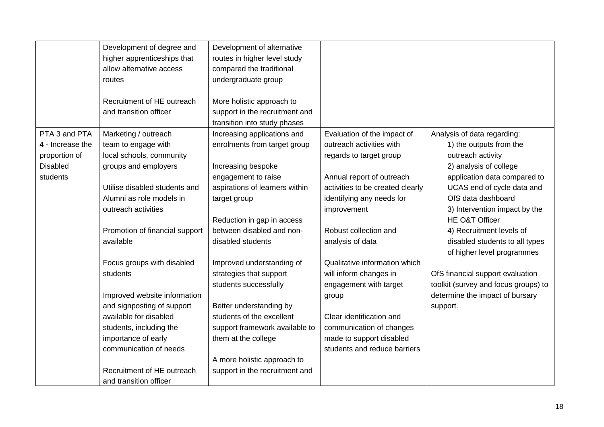|                  | Development of degree and      | Development of alternative     |                                  |                                      |
|------------------|--------------------------------|--------------------------------|----------------------------------|--------------------------------------|
|                  | higher apprenticeships that    | routes in higher level study   |                                  |                                      |
|                  | allow alternative access       | compared the traditional       |                                  |                                      |
|                  |                                |                                |                                  |                                      |
|                  | routes                         | undergraduate group            |                                  |                                      |
|                  | Recruitment of HE outreach     | More holistic approach to      |                                  |                                      |
|                  | and transition officer         |                                |                                  |                                      |
|                  |                                | support in the recruitment and |                                  |                                      |
|                  |                                | transition into study phases   |                                  |                                      |
| PTA 3 and PTA    | Marketing / outreach           | Increasing applications and    | Evaluation of the impact of      | Analysis of data regarding:          |
| 4 - Increase the | team to engage with            | enrolments from target group   | outreach activities with         | 1) the outputs from the              |
| proportion of    | local schools, community       |                                | regards to target group          | outreach activity                    |
| <b>Disabled</b>  | groups and employers           | Increasing bespoke             |                                  | 2) analysis of college               |
| students         |                                | engagement to raise            | Annual report of outreach        | application data compared to         |
|                  | Utilise disabled students and  | aspirations of learners within | activities to be created clearly | UCAS end of cycle data and           |
|                  | Alumni as role models in       | target group                   | identifying any needs for        | OfS data dashboard                   |
|                  | outreach activities            |                                | improvement                      | 3) Intervention impact by the        |
|                  |                                | Reduction in gap in access     |                                  | <b>HE O&amp;T Officer</b>            |
|                  | Promotion of financial support | between disabled and non-      | Robust collection and            | 4) Recruitment levels of             |
|                  | available                      | disabled students              | analysis of data                 | disabled students to all types       |
|                  |                                |                                |                                  | of higher level programmes           |
|                  | Focus groups with disabled     | Improved understanding of      | Qualitative information which    |                                      |
|                  | students                       | strategies that support        | will inform changes in           | OfS financial support evaluation     |
|                  |                                | students successfully          | engagement with target           | toolkit (survey and focus groups) to |
|                  | Improved website information   |                                | group                            | determine the impact of bursary      |
|                  | and signposting of support     | Better understanding by        |                                  | support.                             |
|                  | available for disabled         | students of the excellent      | Clear identification and         |                                      |
|                  | students, including the        | support framework available to | communication of changes         |                                      |
|                  | importance of early            | them at the college            | made to support disabled         |                                      |
|                  | communication of needs         |                                | students and reduce barriers     |                                      |
|                  |                                | A more holistic approach to    |                                  |                                      |
|                  | Recruitment of HE outreach     | support in the recruitment and |                                  |                                      |
|                  | and transition officer         |                                |                                  |                                      |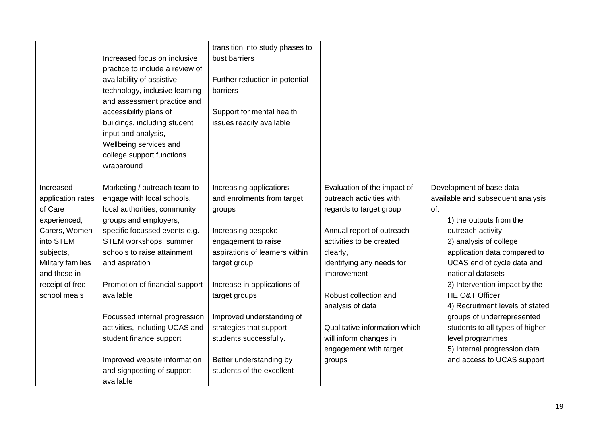|                                                                                                                                                                              | Increased focus on inclusive<br>practice to include a review of<br>availability of assistive<br>technology, inclusive learning<br>and assessment practice and<br>accessibility plans of<br>buildings, including student<br>input and analysis,<br>Wellbeing services and<br>college support functions<br>wraparound                                                                                          | transition into study phases to<br>bust barriers<br>Further reduction in potential<br>barriers<br>Support for mental health<br>issues readily available                                                                                                                                                                     |                                                                                                                                                                                                                                                                                                                                                 |                                                                                                                                                                                                                                                                                                                                                                                                                                                                                       |
|------------------------------------------------------------------------------------------------------------------------------------------------------------------------------|--------------------------------------------------------------------------------------------------------------------------------------------------------------------------------------------------------------------------------------------------------------------------------------------------------------------------------------------------------------------------------------------------------------|-----------------------------------------------------------------------------------------------------------------------------------------------------------------------------------------------------------------------------------------------------------------------------------------------------------------------------|-------------------------------------------------------------------------------------------------------------------------------------------------------------------------------------------------------------------------------------------------------------------------------------------------------------------------------------------------|---------------------------------------------------------------------------------------------------------------------------------------------------------------------------------------------------------------------------------------------------------------------------------------------------------------------------------------------------------------------------------------------------------------------------------------------------------------------------------------|
| Increased<br>application rates<br>of Care<br>experienced,<br>Carers, Women<br>into STEM<br>subjects,<br>Military families<br>and those in<br>receipt of free<br>school meals | Marketing / outreach team to<br>engage with local schools,<br>local authorities, community<br>groups and employers,<br>specific focussed events e.g.<br>STEM workshops, summer<br>schools to raise attainment<br>and aspiration<br>Promotion of financial support<br>available<br>Focussed internal progression<br>activities, including UCAS and<br>student finance support<br>Improved website information | Increasing applications<br>and enrolments from target<br>groups<br>Increasing bespoke<br>engagement to raise<br>aspirations of learners within<br>target group<br>Increase in applications of<br>target groups<br>Improved understanding of<br>strategies that support<br>students successfully.<br>Better understanding by | Evaluation of the impact of<br>outreach activities with<br>regards to target group<br>Annual report of outreach<br>activities to be created<br>clearly,<br>identifying any needs for<br>improvement<br>Robust collection and<br>analysis of data<br>Qualitative information which<br>will inform changes in<br>engagement with target<br>groups | Development of base data<br>available and subsequent analysis<br>of:<br>1) the outputs from the<br>outreach activity<br>2) analysis of college<br>application data compared to<br>UCAS end of cycle data and<br>national datasets<br>3) Intervention impact by the<br><b>HE O&amp;T Officer</b><br>4) Recruitment levels of stated<br>groups of underrepresented<br>students to all types of higher<br>level programmes<br>5) Internal progression data<br>and access to UCAS support |
|                                                                                                                                                                              | and signposting of support<br>available                                                                                                                                                                                                                                                                                                                                                                      | students of the excellent                                                                                                                                                                                                                                                                                                   |                                                                                                                                                                                                                                                                                                                                                 |                                                                                                                                                                                                                                                                                                                                                                                                                                                                                       |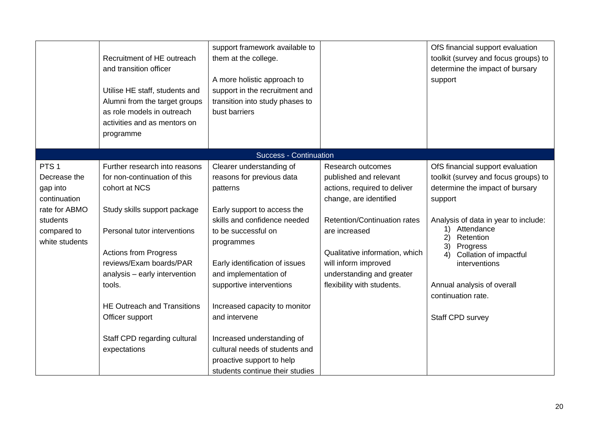|                                                                                                                            | Recruitment of HE outreach<br>and transition officer<br>Utilise HE staff, students and<br>Alumni from the target groups<br>as role models in outreach<br>activities and as mentors on<br>programme                                                   | support framework available to<br>them at the college.<br>A more holistic approach to<br>support in the recruitment and<br>transition into study phases to<br>bust barriers                                                                                  |                                                                                                                                                                                                                                                                             | OfS financial support evaluation<br>toolkit (survey and focus groups) to<br>determine the impact of bursary<br>support                                                                                                                                                                                                       |
|----------------------------------------------------------------------------------------------------------------------------|------------------------------------------------------------------------------------------------------------------------------------------------------------------------------------------------------------------------------------------------------|--------------------------------------------------------------------------------------------------------------------------------------------------------------------------------------------------------------------------------------------------------------|-----------------------------------------------------------------------------------------------------------------------------------------------------------------------------------------------------------------------------------------------------------------------------|------------------------------------------------------------------------------------------------------------------------------------------------------------------------------------------------------------------------------------------------------------------------------------------------------------------------------|
|                                                                                                                            |                                                                                                                                                                                                                                                      | <b>Success - Continuation</b>                                                                                                                                                                                                                                |                                                                                                                                                                                                                                                                             |                                                                                                                                                                                                                                                                                                                              |
| PTS <sub>1</sub><br>Decrease the<br>gap into<br>continuation<br>rate for ABMO<br>students<br>compared to<br>white students | Further research into reasons<br>for non-continuation of this<br>cohort at NCS<br>Study skills support package<br>Personal tutor interventions<br><b>Actions from Progress</b><br>reviews/Exam boards/PAR<br>analysis - early intervention<br>tools. | Clearer understanding of<br>reasons for previous data<br>patterns<br>Early support to access the<br>skills and confidence needed<br>to be successful on<br>programmes<br>Early identification of issues<br>and implementation of<br>supportive interventions | Research outcomes<br>published and relevant<br>actions, required to deliver<br>change, are identified<br>Retention/Continuation rates<br>are increased<br>Qualitative information, which<br>will inform improved<br>understanding and greater<br>flexibility with students. | OfS financial support evaluation<br>toolkit (survey and focus groups) to<br>determine the impact of bursary<br>support<br>Analysis of data in year to include:<br>Attendance<br>1)<br>2)<br>Retention<br>3)<br>Progress<br>4)<br>Collation of impactful<br>interventions<br>Annual analysis of overall<br>continuation rate. |
|                                                                                                                            | <b>HE Outreach and Transitions</b><br>Officer support<br>Staff CPD regarding cultural<br>expectations                                                                                                                                                | Increased capacity to monitor<br>and intervene<br>Increased understanding of<br>cultural needs of students and<br>proactive support to help<br>students continue their studies                                                                               |                                                                                                                                                                                                                                                                             | Staff CPD survey                                                                                                                                                                                                                                                                                                             |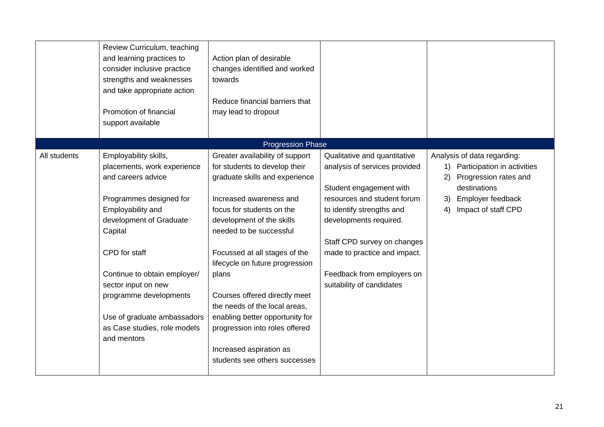|              | and learning practices to<br>consider inclusive practice<br>strengths and weaknesses<br>and take appropriate action<br>Promotion of financial<br>support available                                                                                | Action plan of desirable<br>changes identified and worked<br>towards<br>Reduce financial barriers that<br>may lead to dropout                                                                                                                                                                                              |                                                                                                                                                                                                         |          |                                                               |  |
|--------------|---------------------------------------------------------------------------------------------------------------------------------------------------------------------------------------------------------------------------------------------------|----------------------------------------------------------------------------------------------------------------------------------------------------------------------------------------------------------------------------------------------------------------------------------------------------------------------------|---------------------------------------------------------------------------------------------------------------------------------------------------------------------------------------------------------|----------|---------------------------------------------------------------|--|
|              |                                                                                                                                                                                                                                                   | <b>Progression Phase</b>                                                                                                                                                                                                                                                                                                   |                                                                                                                                                                                                         |          |                                                               |  |
| All students | Employability skills,<br>placements, work experience                                                                                                                                                                                              | Greater availability of support<br>for students to develop their                                                                                                                                                                                                                                                           | Qualitative and quantitative<br>analysis of services provided                                                                                                                                           |          | Analysis of data regarding:<br>1) Participation in activities |  |
|              | and careers advice                                                                                                                                                                                                                                | graduate skills and experience                                                                                                                                                                                                                                                                                             |                                                                                                                                                                                                         | 2)       | Progression rates and                                         |  |
|              |                                                                                                                                                                                                                                                   |                                                                                                                                                                                                                                                                                                                            |                                                                                                                                                                                                         |          |                                                               |  |
|              |                                                                                                                                                                                                                                                   |                                                                                                                                                                                                                                                                                                                            |                                                                                                                                                                                                         |          |                                                               |  |
|              |                                                                                                                                                                                                                                                   |                                                                                                                                                                                                                                                                                                                            |                                                                                                                                                                                                         |          |                                                               |  |
|              |                                                                                                                                                                                                                                                   |                                                                                                                                                                                                                                                                                                                            |                                                                                                                                                                                                         |          |                                                               |  |
|              |                                                                                                                                                                                                                                                   |                                                                                                                                                                                                                                                                                                                            |                                                                                                                                                                                                         |          |                                                               |  |
|              | CPD for staff                                                                                                                                                                                                                                     | Focussed at all stages of the                                                                                                                                                                                                                                                                                              | made to practice and impact.                                                                                                                                                                            |          |                                                               |  |
|              |                                                                                                                                                                                                                                                   |                                                                                                                                                                                                                                                                                                                            |                                                                                                                                                                                                         |          |                                                               |  |
|              |                                                                                                                                                                                                                                                   |                                                                                                                                                                                                                                                                                                                            |                                                                                                                                                                                                         |          |                                                               |  |
|              |                                                                                                                                                                                                                                                   |                                                                                                                                                                                                                                                                                                                            |                                                                                                                                                                                                         |          |                                                               |  |
|              |                                                                                                                                                                                                                                                   |                                                                                                                                                                                                                                                                                                                            |                                                                                                                                                                                                         |          |                                                               |  |
|              |                                                                                                                                                                                                                                                   |                                                                                                                                                                                                                                                                                                                            |                                                                                                                                                                                                         |          |                                                               |  |
|              |                                                                                                                                                                                                                                                   |                                                                                                                                                                                                                                                                                                                            |                                                                                                                                                                                                         |          |                                                               |  |
|              |                                                                                                                                                                                                                                                   |                                                                                                                                                                                                                                                                                                                            |                                                                                                                                                                                                         |          |                                                               |  |
|              |                                                                                                                                                                                                                                                   |                                                                                                                                                                                                                                                                                                                            |                                                                                                                                                                                                         |          |                                                               |  |
|              |                                                                                                                                                                                                                                                   | students see others successes                                                                                                                                                                                                                                                                                              |                                                                                                                                                                                                         |          |                                                               |  |
|              | Programmes designed for<br>Employability and<br>development of Graduate<br>Capital<br>Continue to obtain employer/<br>sector input on new<br>programme developments<br>Use of graduate ambassadors<br>as Case studies, role models<br>and mentors | Increased awareness and<br>focus for students on the<br>development of the skills<br>needed to be successful<br>lifecycle on future progression<br>plans<br>Courses offered directly meet<br>the needs of the local areas.<br>enabling better opportunity for<br>progression into roles offered<br>Increased aspiration as | Student engagement with<br>resources and student forum<br>to identify strengths and<br>developments required.<br>Staff CPD survey on changes<br>Feedback from employers on<br>suitability of candidates | 3)<br>4) | destinations<br>Employer feedback<br>Impact of staff CPD      |  |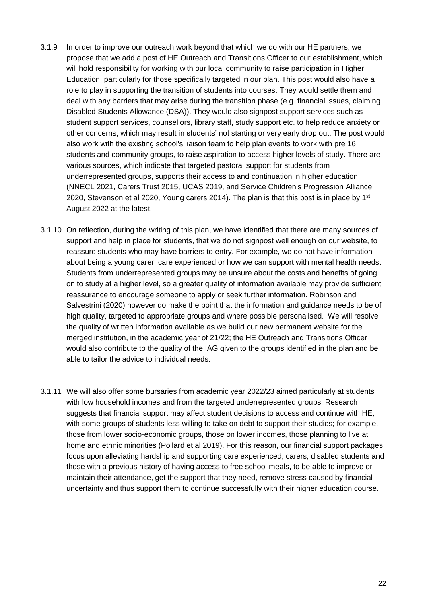- 3.1.9 In order to improve our outreach work beyond that which we do with our HE partners, we propose that we add a post of HE Outreach and Transitions Officer to our establishment, which will hold responsibility for working with our local community to raise participation in Higher Education, particularly for those specifically targeted in our plan. This post would also have a role to play in supporting the transition of students into courses. They would settle them and deal with any barriers that may arise during the transition phase (e.g. financial issues, claiming Disabled Students Allowance (DSA)). They would also signpost support services such as student support services, counsellors, library staff, study support etc. to help reduce anxiety or other concerns, which may result in students' not starting or very early drop out. The post would also work with the existing school's liaison team to help plan events to work with pre 16 students and community groups, to raise aspiration to access higher levels of study. There are various sources, which indicate that targeted pastoral support for students from underrepresented groups, supports their access to and continuation in higher education (NNECL 2021, Carers Trust 2015, UCAS 2019, and Service Children's Progression Alliance 2020, Stevenson et al 2020, Young carers 2014). The plan is that this post is in place by 1st August 2022 at the latest.
- 3.1.10 On reflection, during the writing of this plan, we have identified that there are many sources of support and help in place for students, that we do not signpost well enough on our website, to reassure students who may have barriers to entry. For example, we do not have information about being a young carer, care experienced or how we can support with mental health needs. Students from underrepresented groups may be unsure about the costs and benefits of going on to study at a higher level, so a greater quality of information available may provide sufficient reassurance to encourage someone to apply or seek further information. Robinson and Salvestrini (2020) however do make the point that the information and guidance needs to be of high quality, targeted to appropriate groups and where possible personalised. We will resolve the quality of written information available as we build our new permanent website for the merged institution, in the academic year of 21/22; the HE Outreach and Transitions Officer would also contribute to the quality of the IAG given to the groups identified in the plan and be able to tailor the advice to individual needs.
- 3.1.11 We will also offer some bursaries from academic year 2022/23 aimed particularly at students with low household incomes and from the targeted underrepresented groups. Research suggests that financial support may affect student decisions to access and continue with HE, with some groups of students less willing to take on debt to support their studies; for example, those from lower socio-economic groups, those on lower incomes, those planning to live at home and ethnic minorities (Pollard et al 2019). For this reason, our financial support packages focus upon alleviating hardship and supporting care experienced, carers, disabled students and those with a previous history of having access to free school meals, to be able to improve or maintain their attendance, get the support that they need, remove stress caused by financial uncertainty and thus support them to continue successfully with their higher education course.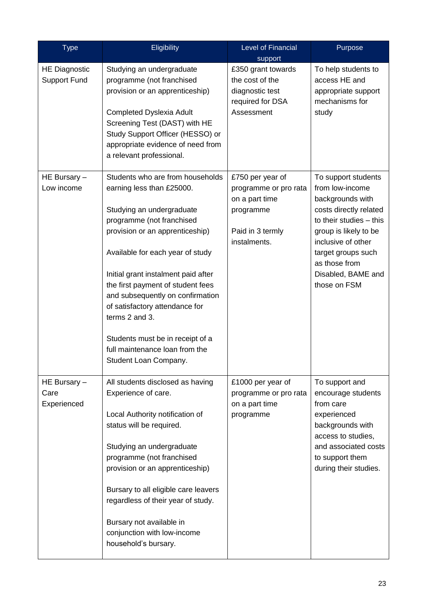| <b>Type</b>                                 | Eligibility                                                                                                                                                                                                                                                                                                                                                                                                                                                       | <b>Level of Financial</b><br>support                                                                         | Purpose                                                                                                                                                                                                                                       |
|---------------------------------------------|-------------------------------------------------------------------------------------------------------------------------------------------------------------------------------------------------------------------------------------------------------------------------------------------------------------------------------------------------------------------------------------------------------------------------------------------------------------------|--------------------------------------------------------------------------------------------------------------|-----------------------------------------------------------------------------------------------------------------------------------------------------------------------------------------------------------------------------------------------|
| <b>HE Diagnostic</b><br><b>Support Fund</b> | Studying an undergraduate<br>programme (not franchised<br>provision or an apprenticeship)<br>Completed Dyslexia Adult<br>Screening Test (DAST) with HE<br>Study Support Officer (HESSO) or<br>appropriate evidence of need from<br>a relevant professional.                                                                                                                                                                                                       | £350 grant towards<br>the cost of the<br>diagnostic test<br>required for DSA<br>Assessment                   | To help students to<br>access HE and<br>appropriate support<br>mechanisms for<br>study                                                                                                                                                        |
| HE Bursary $-$<br>Low income                | Students who are from households<br>earning less than £25000.<br>Studying an undergraduate<br>programme (not franchised<br>provision or an apprenticeship)<br>Available for each year of study<br>Initial grant instalment paid after<br>the first payment of student fees<br>and subsequently on confirmation<br>of satisfactory attendance for<br>terms 2 and 3.<br>Students must be in receipt of a<br>full maintenance loan from the<br>Student Loan Company. | £750 per year of<br>programme or pro rata<br>on a part time<br>programme<br>Paid in 3 termly<br>instalments. | To support students<br>from low-income<br>backgrounds with<br>costs directly related<br>to their studies $-$ this<br>group is likely to be<br>inclusive of other<br>target groups such<br>as those from<br>Disabled, BAME and<br>those on FSM |
| HE Bursary $-$<br>Care<br>Experienced       | All students disclosed as having<br>Experience of care.<br>Local Authority notification of<br>status will be required.<br>Studying an undergraduate<br>programme (not franchised<br>provision or an apprenticeship)<br>Bursary to all eligible care leavers<br>regardless of their year of study.<br>Bursary not available in<br>conjunction with low-income<br>household's bursary.                                                                              | £1000 per year of<br>programme or pro rata<br>on a part time<br>programme                                    | To support and<br>encourage students<br>from care<br>experienced<br>backgrounds with<br>access to studies,<br>and associated costs<br>to support them<br>during their studies.                                                                |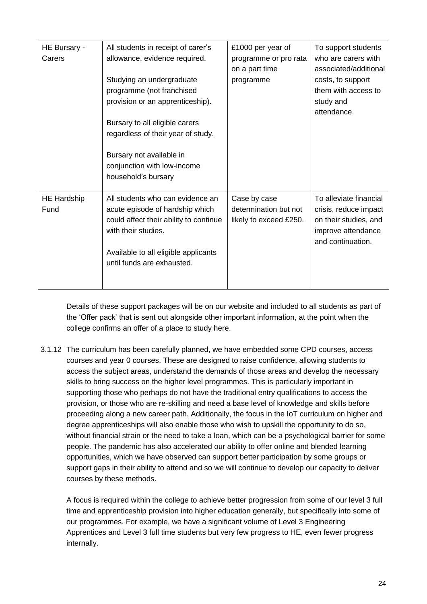| HE Bursary -       | All students in receipt of carer's     | £1000 per year of      | To support students      |
|--------------------|----------------------------------------|------------------------|--------------------------|
| Carers             | allowance, evidence required.          | programme or pro rata  | who are carers with      |
|                    |                                        | on a part time         | associated/additional    |
|                    | Studying an undergraduate              | programme              | costs, to support        |
|                    | programme (not franchised              |                        | them with access to      |
|                    | provision or an apprenticeship).       |                        | study and<br>attendance. |
|                    | Bursary to all eligible carers         |                        |                          |
|                    | regardless of their year of study.     |                        |                          |
|                    | Bursary not available in               |                        |                          |
|                    | conjunction with low-income            |                        |                          |
|                    | household's bursary                    |                        |                          |
|                    |                                        |                        |                          |
| <b>HE Hardship</b> | All students who can evidence an       | Case by case           | To alleviate financial   |
| Fund               | acute episode of hardship which        | determination but not  | crisis, reduce impact    |
|                    | could affect their ability to continue | likely to exceed £250. | on their studies, and    |
|                    | with their studies.                    |                        | improve attendance       |
|                    |                                        |                        | and continuation.        |
|                    | Available to all eligible applicants   |                        |                          |
|                    | until funds are exhausted.             |                        |                          |
|                    |                                        |                        |                          |
|                    |                                        |                        |                          |

Details of these support packages will be on our website and included to all students as part of the 'Offer pack' that is sent out alongside other important information, at the point when the college confirms an offer of a place to study here.

3.1.12 The curriculum has been carefully planned, we have embedded some CPD courses, access courses and year 0 courses. These are designed to raise confidence, allowing students to access the subject areas, understand the demands of those areas and develop the necessary skills to bring success on the higher level programmes. This is particularly important in supporting those who perhaps do not have the traditional entry qualifications to access the provision, or those who are re-skilling and need a base level of knowledge and skills before proceeding along a new career path. Additionally, the focus in the IoT curriculum on higher and degree apprenticeships will also enable those who wish to upskill the opportunity to do so, without financial strain or the need to take a loan, which can be a psychological barrier for some people. The pandemic has also accelerated our ability to offer online and blended learning opportunities, which we have observed can support better participation by some groups or support gaps in their ability to attend and so we will continue to develop our capacity to deliver courses by these methods.

A focus is required within the college to achieve better progression from some of our level 3 full time and apprenticeship provision into higher education generally, but specifically into some of our programmes. For example, we have a significant volume of Level 3 Engineering Apprentices and Level 3 full time students but very few progress to HE, even fewer progress internally.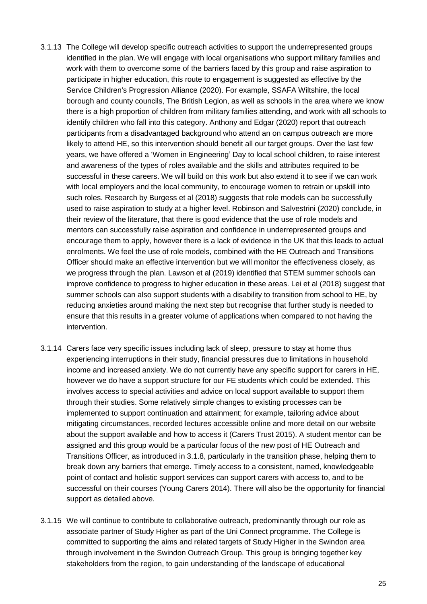- 3.1.13 The College will develop specific outreach activities to support the underrepresented groups identified in the plan. We will engage with local organisations who support military families and work with them to overcome some of the barriers faced by this group and raise aspiration to participate in higher education, this route to engagement is suggested as effective by the Service Children's Progression Alliance (2020). For example, SSAFA Wiltshire, the local borough and county councils, The British Legion, as well as schools in the area where we know there is a high proportion of children from military families attending, and work with all schools to identify children who fall into this category. Anthony and Edgar (2020) report that outreach participants from a disadvantaged background who attend an on campus outreach are more likely to attend HE, so this intervention should benefit all our target groups. Over the last few years, we have offered a 'Women in Engineering' Day to local school children, to raise interest and awareness of the types of roles available and the skills and attributes required to be successful in these careers. We will build on this work but also extend it to see if we can work with local employers and the local community, to encourage women to retrain or upskill into such roles. Research by Burgess et al (2018) suggests that role models can be successfully used to raise aspiration to study at a higher level. Robinson and Salvestrini (2020) conclude, in their review of the literature, that there is good evidence that the use of role models and mentors can successfully raise aspiration and confidence in underrepresented groups and encourage them to apply, however there is a lack of evidence in the UK that this leads to actual enrolments. We feel the use of role models, combined with the HE Outreach and Transitions Officer should make an effective intervention but we will monitor the effectiveness closely, as we progress through the plan. Lawson et al (2019) identified that STEM summer schools can improve confidence to progress to higher education in these areas. Lei et al (2018) suggest that summer schools can also support students with a disability to transition from school to HE, by reducing anxieties around making the next step but recognise that further study is needed to ensure that this results in a greater volume of applications when compared to not having the intervention.
- 3.1.14 Carers face very specific issues including lack of sleep, pressure to stay at home thus experiencing interruptions in their study, financial pressures due to limitations in household income and increased anxiety. We do not currently have any specific support for carers in HE, however we do have a support structure for our FE students which could be extended. This involves access to special activities and advice on local support available to support them through their studies. Some relatively simple changes to existing processes can be implemented to support continuation and attainment; for example, tailoring advice about mitigating circumstances, recorded lectures accessible online and more detail on our website about the support available and how to access it (Carers Trust 2015). A student mentor can be assigned and this group would be a particular focus of the new post of HE Outreach and Transitions Officer, as introduced in 3.1.8, particularly in the transition phase, helping them to break down any barriers that emerge. Timely access to a consistent, named, knowledgeable point of contact and holistic support services can support carers with access to, and to be successful on their courses (Young Carers 2014). There will also be the opportunity for financial support as detailed above.
- 3.1.15 We will continue to contribute to collaborative outreach, predominantly through our role as associate partner of Study Higher as part of the Uni Connect programme. The College is committed to supporting the aims and related targets of Study Higher in the Swindon area through involvement in the Swindon Outreach Group. This group is bringing together key stakeholders from the region, to gain understanding of the landscape of educational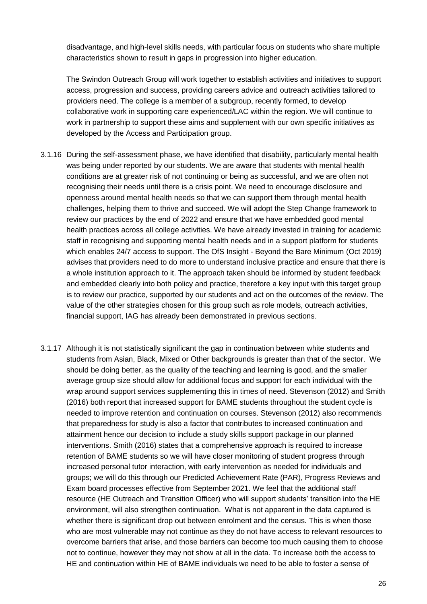disadvantage, and high-level skills needs, with particular focus on students who share multiple characteristics shown to result in gaps in progression into higher education.

The Swindon Outreach Group will work together to establish activities and initiatives to support access, progression and success, providing careers advice and outreach activities tailored to providers need. The college is a member of a subgroup, recently formed, to develop collaborative work in supporting care experienced/LAC within the region. We will continue to work in partnership to support these aims and supplement with our own specific initiatives as developed by the Access and Participation group.

- 3.1.16 During the self-assessment phase, we have identified that disability, particularly mental health was being under reported by our students. We are aware that students with mental health conditions are at greater risk of not continuing or being as successful, and we are often not recognising their needs until there is a crisis point. We need to encourage disclosure and openness around mental health needs so that we can support them through mental health challenges, helping them to thrive and succeed. We will adopt the Step Change framework to review our practices by the end of 2022 and ensure that we have embedded good mental health practices across all college activities. We have already invested in training for academic staff in recognising and supporting mental health needs and in a support platform for students which enables 24/7 access to support. The OfS Insight - Beyond the Bare Minimum (Oct 2019) advises that providers need to do more to understand inclusive practice and ensure that there is a whole institution approach to it. The approach taken should be informed by student feedback and embedded clearly into both policy and practice, therefore a key input with this target group is to review our practice, supported by our students and act on the outcomes of the review. The value of the other strategies chosen for this group such as role models, outreach activities, financial support, IAG has already been demonstrated in previous sections.
- 3.1.17 Although it is not statistically significant the gap in continuation between white students and students from Asian, Black, Mixed or Other backgrounds is greater than that of the sector. We should be doing better, as the quality of the teaching and learning is good, and the smaller average group size should allow for additional focus and support for each individual with the wrap around support services supplementing this in times of need. Stevenson (2012) and Smith (2016) both report that increased support for BAME students throughout the student cycle is needed to improve retention and continuation on courses. Stevenson (2012) also recommends that preparedness for study is also a factor that contributes to increased continuation and attainment hence our decision to include a study skills support package in our planned interventions. Smith (2016) states that a comprehensive approach is required to increase retention of BAME students so we will have closer monitoring of student progress through increased personal tutor interaction, with early intervention as needed for individuals and groups; we will do this through our Predicted Achievement Rate (PAR), Progress Reviews and Exam board processes effective from September 2021. We feel that the additional staff resource (HE Outreach and Transition Officer) who will support students' transition into the HE environment, will also strengthen continuation. What is not apparent in the data captured is whether there is significant drop out between enrolment and the census. This is when those who are most vulnerable may not continue as they do not have access to relevant resources to overcome barriers that arise, and those barriers can become too much causing them to choose not to continue, however they may not show at all in the data. To increase both the access to HE and continuation within HE of BAME individuals we need to be able to foster a sense of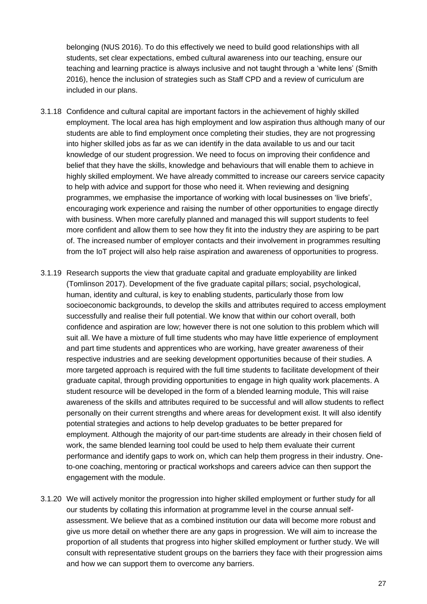belonging (NUS 2016). To do this effectively we need to build good relationships with all students, set clear expectations, embed cultural awareness into our teaching, ensure our teaching and learning practice is always inclusive and not taught through a 'white lens' (Smith 2016), hence the inclusion of strategies such as Staff CPD and a review of curriculum are included in our plans.

- 3.1.18 Confidence and cultural capital are important factors in the achievement of highly skilled employment. The local area has high employment and low aspiration thus although many of our students are able to find employment once completing their studies, they are not progressing into higher skilled jobs as far as we can identify in the data available to us and our tacit knowledge of our student progression. We need to focus on improving their confidence and belief that they have the skills, knowledge and behaviours that will enable them to achieve in highly skilled employment. We have already committed to increase our careers service capacity to help with advice and support for those who need it. When reviewing and designing programmes, we emphasise the importance of working with local businesses on 'live briefs', encouraging work experience and raising the number of other opportunities to engage directly with business. When more carefully planned and managed this will support students to feel more confident and allow them to see how they fit into the industry they are aspiring to be part of. The increased number of employer contacts and their involvement in programmes resulting from the IoT project will also help raise aspiration and awareness of opportunities to progress.
- 3.1.19 Research supports the view that graduate capital and graduate employability are linked (Tomlinson 2017). Development of the five graduate capital pillars; social, psychological, human, identity and cultural, is key to enabling students, particularly those from low socioeconomic backgrounds, to develop the skills and attributes required to access employment successfully and realise their full potential. We know that within our cohort overall, both confidence and aspiration are low; however there is not one solution to this problem which will suit all. We have a mixture of full time students who may have little experience of employment and part time students and apprentices who are working, have greater awareness of their respective industries and are seeking development opportunities because of their studies. A more targeted approach is required with the full time students to facilitate development of their graduate capital, through providing opportunities to engage in high quality work placements. A student resource will be developed in the form of a blended learning module, This will raise awareness of the skills and attributes required to be successful and will allow students to reflect personally on their current strengths and where areas for development exist. It will also identify potential strategies and actions to help develop graduates to be better prepared for employment. Although the majority of our part-time students are already in their chosen field of work, the same blended learning tool could be used to help them evaluate their current performance and identify gaps to work on, which can help them progress in their industry. Oneto-one coaching, mentoring or practical workshops and careers advice can then support the engagement with the module.
- 3.1.20 We will actively monitor the progression into higher skilled employment or further study for all our students by collating this information at programme level in the course annual selfassessment. We believe that as a combined institution our data will become more robust and give us more detail on whether there are any gaps in progression. We will aim to increase the proportion of all students that progress into higher skilled employment or further study. We will consult with representative student groups on the barriers they face with their progression aims and how we can support them to overcome any barriers.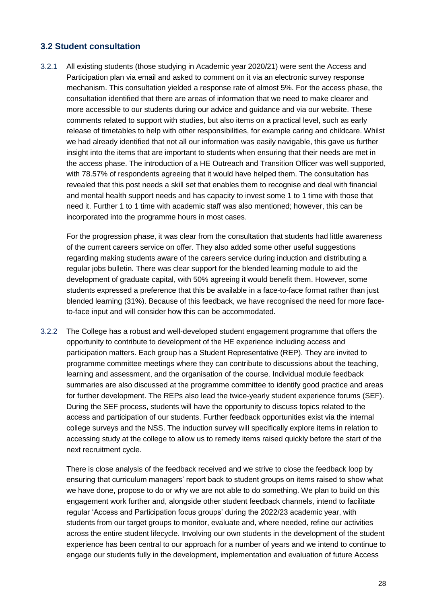# **3.2 Student consultation**

3.2.1 All existing students (those studying in Academic year 2020/21) were sent the Access and Participation plan via email and asked to comment on it via an electronic survey response mechanism. This consultation yielded a response rate of almost 5%. For the access phase, the consultation identified that there are areas of information that we need to make clearer and more accessible to our students during our advice and guidance and via our website. These comments related to support with studies, but also items on a practical level, such as early release of timetables to help with other responsibilities, for example caring and childcare. Whilst we had already identified that not all our information was easily navigable, this gave us further insight into the items that are important to students when ensuring that their needs are met in the access phase. The introduction of a HE Outreach and Transition Officer was well supported, with 78.57% of respondents agreeing that it would have helped them. The consultation has revealed that this post needs a skill set that enables them to recognise and deal with financial and mental health support needs and has capacity to invest some 1 to 1 time with those that need it. Further 1 to 1 time with academic staff was also mentioned; however, this can be incorporated into the programme hours in most cases.

For the progression phase, it was clear from the consultation that students had little awareness of the current careers service on offer. They also added some other useful suggestions regarding making students aware of the careers service during induction and distributing a regular jobs bulletin. There was clear support for the blended learning module to aid the development of graduate capital, with 50% agreeing it would benefit them. However, some students expressed a preference that this be available in a face-to-face format rather than just blended learning (31%). Because of this feedback, we have recognised the need for more faceto-face input and will consider how this can be accommodated.

3.2.2 The College has a robust and well-developed student engagement programme that offers the opportunity to contribute to development of the HE experience including access and participation matters. Each group has a Student Representative (REP). They are invited to programme committee meetings where they can contribute to discussions about the teaching, learning and assessment, and the organisation of the course. Individual module feedback summaries are also discussed at the programme committee to identify good practice and areas for further development. The REPs also lead the twice-yearly student experience forums (SEF). During the SEF process, students will have the opportunity to discuss topics related to the access and participation of our students. Further feedback opportunities exist via the internal college surveys and the NSS. The induction survey will specifically explore items in relation to accessing study at the college to allow us to remedy items raised quickly before the start of the next recruitment cycle.

There is close analysis of the feedback received and we strive to close the feedback loop by ensuring that curriculum managers' report back to student groups on items raised to show what we have done, propose to do or why we are not able to do something. We plan to build on this engagement work further and, alongside other student feedback channels, intend to facilitate regular 'Access and Participation focus groups' during the 2022/23 academic year, with students from our target groups to monitor, evaluate and, where needed, refine our activities across the entire student lifecycle. Involving our own students in the development of the student experience has been central to our approach for a number of years and we intend to continue to engage our students fully in the development, implementation and evaluation of future Access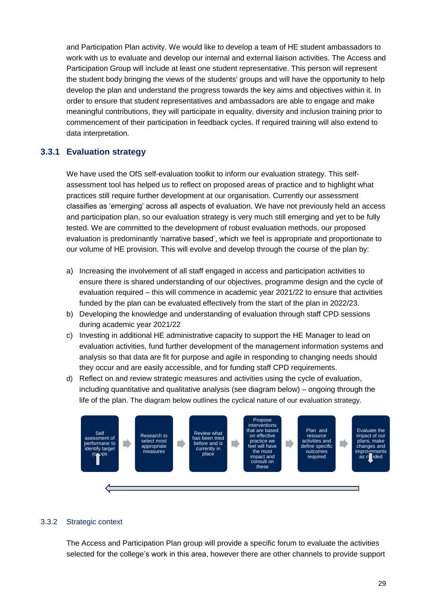and Participation Plan activity. We would like to develop a team of HE student ambassadors to work with us to evaluate and develop our internal and external liaison activities. The Access and Participation Group will include at least one student representative. This person will represent the student body bringing the views of the students' groups and will have the opportunity to help develop the plan and understand the progress towards the key aims and objectives within it. In order to ensure that student representatives and ambassadors are able to engage and make meaningful contributions, they will participate in equality, diversity and inclusion training prior to commencement of their participation in feedback cycles. If required training will also extend to data interpretation.

# **3.3.1 Evaluation strategy**

We have used the OfS self-evaluation toolkit to inform our evaluation strategy. This selfassessment tool has helped us to reflect on proposed areas of practice and to highlight what practices still require further development at our organisation. Currently our assessment classifies as 'emerging' across all aspects of evaluation. We have not previously held an access and participation plan, so our evaluation strategy is very much still emerging and yet to be fully tested. We are committed to the development of robust evaluation methods, our proposed evaluation is predominantly 'narrative based', which we feel is appropriate and proportionate to our volume of HE provision. This will evolve and develop through the course of the plan by:

- a) Increasing the involvement of all staff engaged in access and participation activities to ensure there is shared understanding of our objectives, programme design and the cycle of evaluation required – this will commence in academic year 2021/22 to ensure that activities funded by the plan can be evaluated effectively from the start of the plan in 2022/23.
- b) Developing the knowledge and understanding of evaluation through staff CPD sessions during academic year 2021/22
- c) Investing in additional HE administrative capacity to support the HE Manager to lead on evaluation activities, fund further development of the management information systems and analysis so that data are fit for purpose and agile in responding to changing needs should they occur and are easily accessible, and for funding staff CPD requirements.
- d) Reflect on and review strategic measures and activities using the cycle of evaluation, including quantitative and qualitative analysis (see diagram below) – ongoing through the life of the plan. The diagram below outlines the cyclical nature of our evaluation strategy.



#### 3.3.2 Strategic context

The Access and Participation Plan group will provide a specific forum to evaluate the activities selected for the college's work in this area, however there are other channels to provide support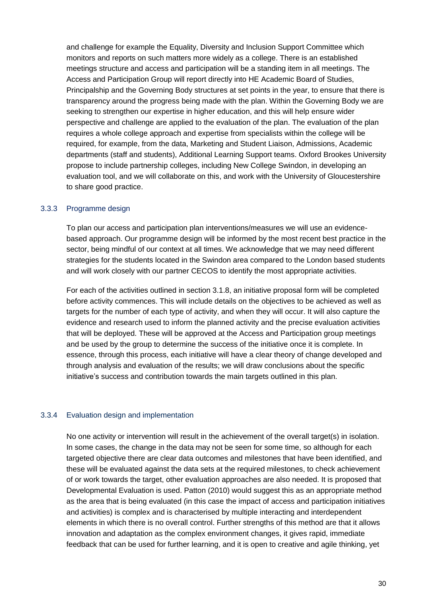and challenge for example the Equality, Diversity and Inclusion Support Committee which monitors and reports on such matters more widely as a college. There is an established meetings structure and access and participation will be a standing item in all meetings. The Access and Participation Group will report directly into HE Academic Board of Studies, Principalship and the Governing Body structures at set points in the year, to ensure that there is transparency around the progress being made with the plan. Within the Governing Body we are seeking to strengthen our expertise in higher education, and this will help ensure wider perspective and challenge are applied to the evaluation of the plan. The evaluation of the plan requires a whole college approach and expertise from specialists within the college will be required, for example, from the data, Marketing and Student Liaison, Admissions, Academic departments (staff and students), Additional Learning Support teams. Oxford Brookes University propose to include partnership colleges, including New College Swindon, in developing an evaluation tool, and we will collaborate on this, and work with the University of Gloucestershire to share good practice.

### 3.3.3 Programme design

To plan our access and participation plan interventions/measures we will use an evidencebased approach. Our programme design will be informed by the most recent best practice in the sector, being mindful of our context at all times. We acknowledge that we may need different strategies for the students located in the Swindon area compared to the London based students and will work closely with our partner CECOS to identify the most appropriate activities.

For each of the activities outlined in section 3.1.8, an initiative proposal form will be completed before activity commences. This will include details on the objectives to be achieved as well as targets for the number of each type of activity, and when they will occur. It will also capture the evidence and research used to inform the planned activity and the precise evaluation activities that will be deployed. These will be approved at the Access and Participation group meetings and be used by the group to determine the success of the initiative once it is complete. In essence, through this process, each initiative will have a clear theory of change developed and through analysis and evaluation of the results; we will draw conclusions about the specific initiative's success and contribution towards the main targets outlined in this plan.

# 3.3.4 Evaluation design and implementation

No one activity or intervention will result in the achievement of the overall target(s) in isolation. In some cases, the change in the data may not be seen for some time, so although for each targeted objective there are clear data outcomes and milestones that have been identified, and these will be evaluated against the data sets at the required milestones, to check achievement of or work towards the target, other evaluation approaches are also needed. It is proposed that Developmental Evaluation is used. Patton (2010) would suggest this as an appropriate method as the area that is being evaluated (in this case the impact of access and participation initiatives and activities) is complex and is characterised by multiple interacting and interdependent elements in which there is no overall control. Further strengths of this method are that it allows innovation and adaptation as the complex environment changes, it gives rapid, immediate feedback that can be used for further learning, and it is open to creative and agile thinking, yet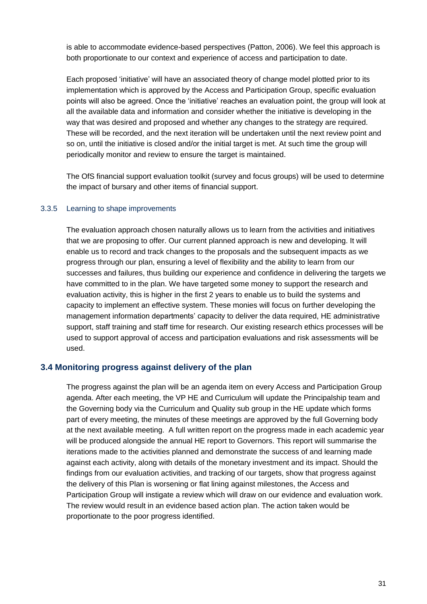is able to accommodate evidence-based perspectives (Patton, 2006). We feel this approach is both proportionate to our context and experience of access and participation to date.

Each proposed 'initiative' will have an associated theory of change model plotted prior to its implementation which is approved by the Access and Participation Group, specific evaluation points will also be agreed. Once the 'initiative' reaches an evaluation point, the group will look at all the available data and information and consider whether the initiative is developing in the way that was desired and proposed and whether any changes to the strategy are required. These will be recorded, and the next iteration will be undertaken until the next review point and so on, until the initiative is closed and/or the initial target is met. At such time the group will periodically monitor and review to ensure the target is maintained.

The OfS financial support evaluation toolkit (survey and focus groups) will be used to determine the impact of bursary and other items of financial support.

### 3.3.5 Learning to shape improvements

The evaluation approach chosen naturally allows us to learn from the activities and initiatives that we are proposing to offer. Our current planned approach is new and developing. It will enable us to record and track changes to the proposals and the subsequent impacts as we progress through our plan, ensuring a level of flexibility and the ability to learn from our successes and failures, thus building our experience and confidence in delivering the targets we have committed to in the plan. We have targeted some money to support the research and evaluation activity, this is higher in the first 2 years to enable us to build the systems and capacity to implement an effective system. These monies will focus on further developing the management information departments' capacity to deliver the data required, HE administrative support, staff training and staff time for research. Our existing research ethics processes will be used to support approval of access and participation evaluations and risk assessments will be used.

# **3.4 Monitoring progress against delivery of the plan**

The progress against the plan will be an agenda item on every Access and Participation Group agenda. After each meeting, the VP HE and Curriculum will update the Principalship team and the Governing body via the Curriculum and Quality sub group in the HE update which forms part of every meeting, the minutes of these meetings are approved by the full Governing body at the next available meeting. A full written report on the progress made in each academic year will be produced alongside the annual HE report to Governors. This report will summarise the iterations made to the activities planned and demonstrate the success of and learning made against each activity, along with details of the monetary investment and its impact. Should the findings from our evaluation activities, and tracking of our targets, show that progress against the delivery of this Plan is worsening or flat lining against milestones, the Access and Participation Group will instigate a review which will draw on our evidence and evaluation work. The review would result in an evidence based action plan. The action taken would be proportionate to the poor progress identified.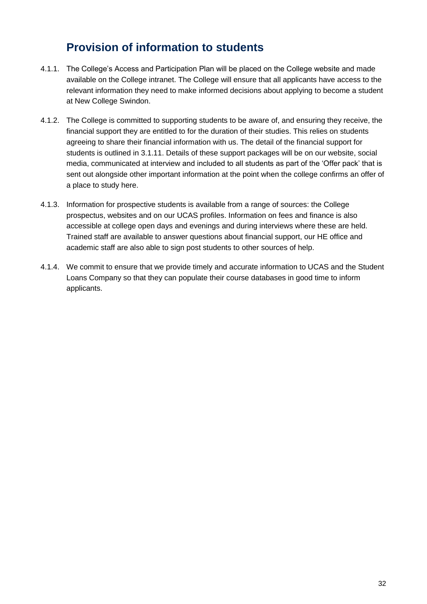# **Provision of information to students**

- 4.1.1. The College's Access and Participation Plan will be placed on the College website and made available on the College intranet. The College will ensure that all applicants have access to the relevant information they need to make informed decisions about applying to become a student at New College Swindon.
- 4.1.2. The College is committed to supporting students to be aware of, and ensuring they receive, the financial support they are entitled to for the duration of their studies. This relies on students agreeing to share their financial information with us. The detail of the financial support for students is outlined in 3.1.11. Details of these support packages will be on our website, social media, communicated at interview and included to all students as part of the 'Offer pack' that is sent out alongside other important information at the point when the college confirms an offer of a place to study here.
- 4.1.3. Information for prospective students is available from a range of sources: the College prospectus, websites and on our UCAS profiles. Information on fees and finance is also accessible at college open days and evenings and during interviews where these are held. Trained staff are available to answer questions about financial support, our HE office and academic staff are also able to sign post students to other sources of help.
- 4.1.4. We commit to ensure that we provide timely and accurate information to UCAS and the Student Loans Company so that they can populate their course databases in good time to inform applicants.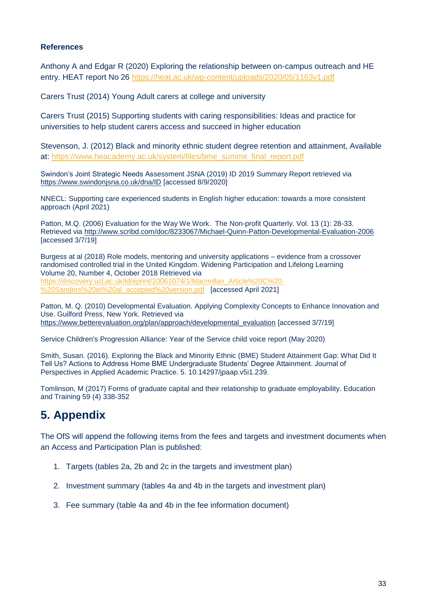# **References**

Anthony A and Edgar R (2020) Exploring the relationship between on-campus outreach and HE entry. HEAT report No 26<https://heat.ac.uk/wp-content/uploads/2020/05/1163v1.pdf>

Carers Trust (2014) Young Adult carers at college and university

Carers Trust (2015) Supporting students with caring responsibilities: Ideas and practice for universities to help student carers access and succeed in higher education

Stevenson, J. (2012) Black and minority ethnic student degree retention and attainment, Available at: [https://www.heacademy.ac.uk/system/files/bme\\_summit\\_final\\_report.pdf](https://www.heacademy.ac.uk/system/files/bme_summit_final_report.pdf)

Swindon's Joint Strategic Needs Assessment JSNA (2019) ID 2019 Summary Report retrieved via <https://www.swindonjsna.co.uk/dna/ID> [accessed 8/9/2020]

NNECL: Supporting care experienced students in English higher education: towards a more consistent approach (April 2021)

Patton, M.Q. (2006) Evaluation for the Way We Work. The Non-profit Quarterly. Vol. 13 (1): 28-33. Retrieved via<http://www.scribd.com/doc/8233067/Michael-Quinn-Patton-Developmental-Evaluation-2006> [accessed 3/7/19]

Burgess at al (2018) Role models, mentoring and university applications – evidence from a crossover randomised controlled trial in the United Kingdom. Widening Participation and Lifelong Learning Volume 20, Number 4, October 2018 Retrieved via [https://discovery.ucl.ac.uk/id/eprint/10061074/1/Macmillan\\_Article%20C%20-](https://discovery.ucl.ac.uk/id/eprint/10061074/1/Macmillan_Article%20C%20-%20Sanders%20et%20al_accepted%20version.pdf)

[%20Sanders%20et%20al\\_accepted%20version.pdf](https://discovery.ucl.ac.uk/id/eprint/10061074/1/Macmillan_Article%20C%20-%20Sanders%20et%20al_accepted%20version.pdf) [accessed April 2021]

Patton, M. Q. (2010) Developmental Evaluation. Applying Complexity Concepts to Enhance Innovation and Use. Guilford Press, New York. Retrieved via [https://www.betterevaluation.org/plan/approach/developmental\\_evaluation](https://www.betterevaluation.org/plan/approach/developmental_evaluation) [accessed 3/7/19]

Service Children's Progression Alliance: Year of the Service child voice report (May 2020)

Smith, Susan. (2016). Exploring the Black and Minority Ethnic (BME) Student Attainment Gap: What Did It Tell Us? Actions to Address Home BME Undergraduate Students' Degree Attainment. Journal of Perspectives in Applied Academic Practice. 5. 10.14297/jpaap.v5i1.239.

Tomlinson, M (2017) Forms of graduate capital and their relationship to graduate employability. Education and Training 59 (4) 338-352

# **5. Appendix**

The OfS will append the following items from the fees and targets and investment documents when an Access and Participation Plan is published:

- 1. Targets (tables 2a, 2b and 2c in the targets and investment plan)
- 2. Investment summary (tables 4a and 4b in the targets and investment plan)
- 3. Fee summary (table 4a and 4b in the fee information document)